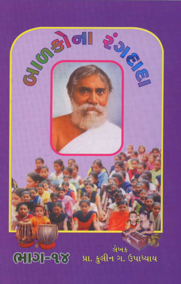### કહયુ હોખક<br>પ્રા. કુલીન ગ. ઉપાધ્યાય  $\begin{picture}(25,20) \put(0,0){\line(1,0){10}} \put(15,0){\line(1,0){10}} \put(15,0){\line(1,0){10}} \put(15,0){\line(1,0){10}} \put(15,0){\line(1,0){10}} \put(15,0){\line(1,0){10}} \put(15,0){\line(1,0){10}} \put(15,0){\line(1,0){10}} \put(15,0){\line(1,0){10}} \put(15,0){\line(1,0){10}} \put(15,0){\line(1,0){10}} \put(15,0){\line(1$

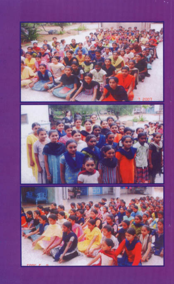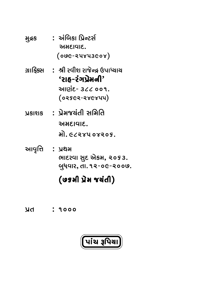ચ રૂપિય  $\frac{1}{\sqrt{1-\frac{1}{2}}\sqrt{1-\frac{1}{2}}\left(\frac{1}{2}-\frac{1}{2}\right)}$ 

 $:9000$ ਪਰ f : 1000 million (1000)<br>1000 million (1000)

### (७**૬**મી પ્રેમ જચંતી)

આવૃત્તિ : પ્રથમ<br>ભાદરવા સુદ એકમ, ૨૦૬૩. બુધવાર, તા. ૧૨-૦૯-૨૦૦૭.<br>.

પ્રકાશક : પ્રેમજચંતી સમિતિ  $EEMBENQSE$  $di.$  ELETY OTROS.

 $\sqrt{25454539}$ <u>ગ્રાફિક્સ : શ્રી રવીશ રાજેન્દ્ર ઉપાધ્યાય</u> **'રાહ-રંગપ્રેમની'**<br>આણંદ- ૩૮૮ ૦૦૧.  $(0996 - 388)$  $\sqrt{2}$ 

મુહ્રક : અંબિકા પ્રિન્ટર્સ<br>અમદાવાદ.  $(00C-24843C08)$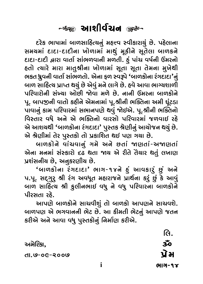

—<del>>≶</del>@ અ|શીર્વચિન ૄ<del>ઃ</del><br>અહેર ભાષામાં બાળસાહિત્યનું મહત્ત્વ સ્વીકારાયું છે. પહેલાના সમચમાં દાદા-દાદીના ખોળામાં માથું મૂકીને સૂતેલા બાળકને દાદા-દાદી દ્વારા વાર્તા સાંભળવાની મળતી. હું પાંચ વર્ષની ઉંમરનો odો ત્યારે મારા માતુશ્રીના ખોળામાં સૂતા સૂતા તેમના મુખેથી —<br>ભકત ધ્રુવની વાર્તા સાંભળતો. એના ફળ સ્વરૂપે 'બાળકોના રંગદાદા'નું<br>બાળ સાહિત્ય પાપ્ત થયં છે એવં મને લાગે છે. હવે આવા ભાગ્યશાળી બાળ સાહિત્ય પ્રાપ્ત થયું છે એવું મને લાગે છે. હવે આવા ભાગ્યશાળી<br>પરિવારોની સંખ્યા ઓછી જોવા મળે છે. નાની ઉંમરના બાળકોને પૂ. બાપજીની વાતો કહીને એમનામાં પૂ.શ્રીની ભક્તિના અમી ઘૂંટડા પાવાનું કામ પરિવારમાં સભાનપણે થવું જોઈએ. પૂ.શ્રીની ભક્તિનો ,<br>વિસ્તાર વધે અને એ ભક્તિનો વારસો પરિવારમાં જળવાઈ રહે<br>એ આશચથી 'બાળકોના રંગદાદા' પસ્તક શ્રેાગીનં આચોજન થચં છે. એ આશચથી 'બાળકોના રંગદાદા' પુસ્તક શ્રેણીનું આયોજન થયું છે.<br>એ શ્રેણીમાં તેર પુસ્તકો તો પ્રકાશિત થઈ પણ ગયા છે.

લાળકોને વાંચવાનું ગમે અને છતાં જાણતાં-અજાણતાં એના મનમાં સંસ્કારો દઢ થતા જાય એ રીતે તૈયાર થતું લખાણ પ્રશંસનીચ છે, અનુકરણીચ છે.

.<br>'બાળકોના રંગદાદા' ભાગ-૧૪ને હું આવકારું છું અને<br>પ.પ. સદગર શ્રી રંગ અવધત મહારાજને પાર્થના કરં છું કે આવં પ.પૂ. સદ્ગુરુ શ્રી રંગ અવધૂત મહારાજને પ્રાર્થના કરું છું કે આવું બાળ સાહિત્ચ શ્રી કુલીનભાઈ વધુ ને વધુ પરિવારના બાળકોને<br>પીરસતા રહે.

આપણે બાળકોને સાચવીશું તો બાળકો આપણને સાચવશે. બાળપણ એ ભગવાનની ભેટ છે. આ કીમતી ભેટનું આપણે જતન µÛ¥fo #@ I"\_Û……— I@ŸO ©Â@. #Û xOflfiE— I@ŸO…⁄√ #Ûfo@ QÂE… xO∑—#@ #…@ #Û\_Û \_A⁄ f⁄ÕExOÛ@…⁄√ w…fiÛ™o xO∑—#@.

અમેરિકા.

**al.७-०**∈-२००७ का साथ स**ो अ** 

તિ.

 $\ddot{x}$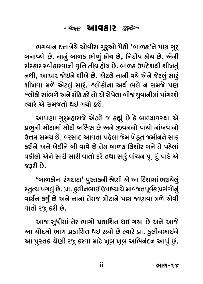### $\sim$  આવકાર જસ્

ભગવાન દત્તાત્રેચે ચોવીસ ગુરૂઓ પૈકી 'બાળક'ને પણ ગુરૂ બનાવ્યો છે. નાનું બાળક ભોળું હોય છે, નિર્દોષ હોય છે. એની સંસ્કાર સ્વીકારવાની વૃત્તિ તીવ્ર હોય છે. બાળક ઉપદેશથી શીખતું નથી, આચાર જોઈને શીખે છે. એટલે નાની વચે એને જેટલું સારું શીખવા મળે એટલું સારૂં. શ્લોકોના અર્થ ભલે ન સમજે પણ શ્લોકો સાંભળે અને મોઢે કરે તો એ રોપેલા બીજ ચુવાનીમાં પાંગરશે ત્યારે એ સમજતો થઈ ગયો હશે.

આપણા ગુરૂમહારાજે એટલે જ કહ્યું છે કે બાલ્યાવસ્થા એ પ્રભુની મોટામાં મોટી બક્ષિસ છે અને જીવનનો પાચો નાંખવાનો ઉત્તમ સમય છે. વરસાદ આવતા પહેલા જેમ ખેડૂત જમીનને સાફ કરીને અને ખેડીને બી વાવે છે તેમ બાળક કિશોર બને તે પહેલાં વડીલો એને સારી સારી વાતો કરે તથા સારૂં વાંચન પૂર્ા પાડે એ જરૂરી છે.

'બાળકોના રંગદાદા' પુસ્તકની શ્રેણી એ આ દિશામાં ભરાચેલું સ્તુત્ય પગલું છે. પ્રા. કુલીનભાઈ ઉપાધ્યાચે માવજતપૂર્વક પ્રસંગોનું વર્ણન કર્યું છે અને નાના તેમજ મોટાને પણ જાણવા મળે એવી વાતો રજૂ કરી છે.

આજ સુધીમાં તેર ભાગો પ્રકાશિત થઇ ગયા છે અને આજે આ ચૌદમો ભાગ પ્રકાશિત થઈ રહ્યો છે ત્યારે પ્રા. કુલીનભાઈને આ પુસ્તક શ્રેણી રજૂ કરવા માટે ખૂબ ખૂબ અભિનંદન આપું છું.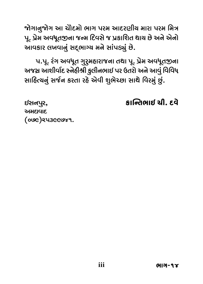@"Û…⁄@" #Û {Û≠pOfiÛ@ IÛ" f∑fi #ÛpO∑o—} fiÛ∑Û f∑fi wfiL f\. fV@fi #\_A\Eu…Û Q±fi wpO\_Y@ Q fVxOÛwBE ZÛ} ©Â@ #…@ #@…Û@ આવકાર લખવાનું સદ્ભાગ્ય મને સાંપડ્યું છે.

પ.પૂ. રંગ અવધૂત ગુરૂમહારાજના તથા પૂ. પ્રેમ અવધૂતજીના <u>અજસ આશીર્વાદ સ્નેહીશ્રી કુલીનભાઈ પર ઉતરો અને આવું વિવિધ</u> સાહિત્યનું સર્જન કરતા રહે એવી શુભેચ્છા સાથે વિર<u>મું છું</u>.

### કાન્તિભાઈ ચી. દવે

\$Y…f⁄∑, xOÛ»±EIÛ\$ {—. pO\_@ xOÛ»±EIÛ\$ {—. pO\_@ xOÛ»±EIÛ\$ {—. (OUG) RU3GEUDT9.  $(0, 9)$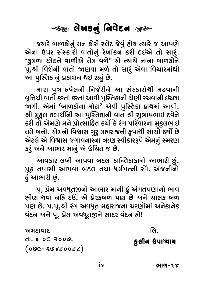## ન્ક્ર્જ્ લેખકનું નિવેદન જ્રસ્∽

જ્યારે બાળકોનું મન કોરી સ્લેટ જેવું હોચ ત્યારે જ આપણે એના ઉપર સંસ્કારી વાતોનું રેખાંકન કરી દઈએ તો સારું. 'કુમળા છોડને વાળીએ તેમ વળે' એ ન્યાયે નાના બાળકોને પૂ.શ્રી વિશેની વાતો જાણવા મળે તો સારૂં એવા વિચારમાંથી આ પુસ્તિકાનું પ્રકાશન થઈ રહ્યું છે.

મારા પુત્ર હર્ષલની નિર્જરીને આ સંસ્કારોથી મઢવાની વૃત્તિથી વાર્તો કરતાં કરતાં આવી પુસ્તિકાની શ્રેણી રચવાની ઈચ્છા .<br>જાગી. એમાં 'બાળકોના મોટા' એવી પુસ્તિકા હાથમાં આવી. શ્રી મુકુલ કલાર્થીની આ પુસ્તિકાની વાત શ્રી સુભાષભાઈ દવેને કરી તો એમણે મને પ્રોત્સાંહિત કર્યો કે રંગ પરિવારના મુકુલભાઈ તમે બનો. એમનો વિશ્વાસ ગુરૂ મહારાજની કૃપાથી સાર્યો ઠર્યો છે એટલે એ વિશ્વાસ જગાવનારના ઋણ સ્વીકારરૂપે એમનું સ્મરણ કરૂં અને આભાર માનું એ ઉચિત જ છે.

આવકાર લખી આપવા બદલ કાન્તિકાકાનો આભારી છું. પ્રૂફ તપાસી આપવા બદલ તથા ધર્મપત્ની સૌ. અંજનીનો હં આભારી છું.

પૂ. પ્રેમ અવધૂતજીનો આભાર માની હું અંગતપણાનો ભાવ ક્ષીણ થવા નહિ દઉં. એ પ્રેરકબળ પણ છે અને ચાલક બળ પણ છે. પ.પૂ.શ્રી રંગ અવધૂત મહારાજના ચરણોમાં અનેકાનેક વંદન અને પૂ. પ્રેમ અવધૂતજીને સાદર વંદન હો!

તિ <u>અમદાવાદ</u> dl. 8-0E-2000. કુલીન ઉપાધ્યાચ  $(00C - 208C)$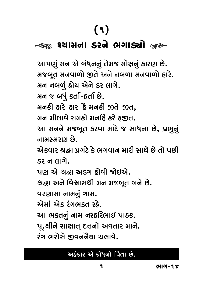## $(9)$

## ન્ક્ય્જ્ર શ્યામના ડરને ભગાડ્યો જ<del>સ્</del>

આપણું મન એ બંધનનું તેમજ મોક્ષનું કારણ છે. મજબૂત મનવાળો જીતે અને નબળા મનવાળો હારે. મન નબળું હોચ એને ડર લાગે. મન જ બધું કર્તા-હર્તા છે. મનકી હારે હાર હૈ મનકી જીતે જીત. મન મીલાવે રામકો મનહિ કરે ફજીત. આ મનને મજબૂત કરવા માટે જ સાધના છે, પ્રભુનું લામસ્મરાગ છે. એકવાર શ્રદ્ધા પ્રગટે કે ભગવાન મારી સાથે છે તો પછી ડર ન લાગે. પણ એ શ્રદ્ધા અડગ ઠોવી જોઈએ. શ્રદ્ધા અને વિશ્વાસથી મન મજબૂત બને છે. વરણામા નામનું ગામ. એમાં એક રંગભકત રહે. આ ભકતનું નામ નરહરિભાઈ પાઠક. પૂ.શ્રીને સાક્ષાત્ દત્તનો અવતાર માને. રંગ ભરોસે જીવનનેચા ચલાવે.

### અર્દકાર એ ક્રોધનો પિતા છે.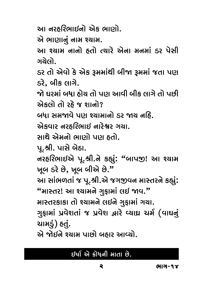આ નરહરિભાઈનો એક ભાણો.

એ ભાણાનું નામ શ્યામ.

આ શ્યામ નાનો હતો ત્યારે એના મનમાં ડર પેસી #Û ‹}Ûfi …Û…Û@ ˜EÛ@ '}Û∑@ #@…Û fi…fiÛ√ ¤O∑ f@Y—

ડર તો એવો કે એક રૂમમાંથી બીજા રૂમમાં જતા પણ કરે**.** બીક લાગે.

¤O∑@, µ—xO ËÛ"@. @ n∑fiÛ√ µAÛ ˜Û@} EÛ@ fo #Û\_— µ—xO ËÛ"@ EÛ@ f©Â—

્ટિસ્સ સ્ટેન્ટ સ્ટેન્ટ સ્ટેન્ટ કરી છે.<br>બધા સમજાવે પણ શ્યામાનો ડર જાય નહિ.<br>એકવાર તરફરિભાઈ તારેશ્વર ગયા

સાથે એમનો ભાણો પણ હતો.

પૂ.શ્રી. પાસે બેઠા.

્ર<br>નરહરિભાઈએ પૂ.શ્રી.ને કહ્યું: "બાપજી! આ શ્યામ<br>ખૂબ ૬રે છે. ખૂબ બીએ છે <sup>?</sup>'

ખૂબ ડરે છે, ખૂબ બીએ છે.''<br>આ સાંભળતાં જ પૂ.શ્રી.એ જગજીવન માસ્તરને કહ્યું: .<br>''માસ્તર! આ શ્યામને ગુફામાં લઈ જાવ.''<br>'માસ્તરકાકા તો શ્યામને લઈને ગુફામાં ગુગા

માસ્તરકાકા તો શ્યામને લઈને ગુફામાં ગચા.<br>ગુફામાં પ્રવેશતાં જ પ્રવેશ દ્વારે વ્યાઘ્ર ચર્મ (વાઘનું ચામડું) હતું.

એ જોઈને શ્ચામ પાછો બઠાર આવ્યો. #@ @\$…@ ‹}Ûfi fÛ©ÂÛ@ µ˜Û∑ #Û[}Û@.

 $\overline{\mathfrak{gl}}$ ર્યા એ કોધની માતા છે.<br>ર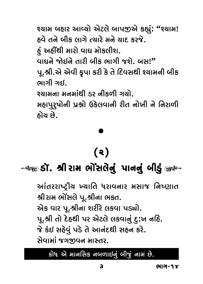શ્ચામ બહાર આવ્યો એટલે બાપજીએ કહ્યું: ''શ્ચામ!<br>ઠવે તને બીક લાગે ત્યારે મને ચાદ કરજે હં અહીંથી મારો વાઘ મોકલીશ.

<sub>૩</sub><br>વાઘને જોઈને તારી બીક ભાગી જશે. બસ!''<br>૫ શ્રી એ એવી કપા કરી કે તે દિવસશી શ્યામ

પૂ.શ્રી.એ એવી કૃપા કરી કે તે દિવસથી શ્યામની બીક<br>ભાગી ગઈ.

શ્ચામના મનમાંથી ડર નીકળી ગચો.

 $\overline{\phantom{a}}$  he limits in the second that  $\overline{\phantom{a}}$ fi˜Ûf⁄∑⁄∆Û@…— fVÀÛ@ &x@OË\_Û…— ∑—E …Û@«— …@ w…∑Û¥— ˜Û@} ©Â@.

### (૨)  $\frac{1}{2}$ ¤OÛø. C— ¤OÛø. C— ¤OÛø. C— ∑Ûfi IÛ@>YË@…⁄√ fÛ……⁄√ µ—¤⁄√O ∑Ûfi IÛ@>YË@…⁄√ fÛ……⁄√ µ—¤⁄√O IÛ@>YË@…⁄√ fÛ……⁄√ µ—¤⁄√O

આંતરરાષ્ટ્રીય ખ્યાતિ ધરાવનાર મસાજ નિષ્ણાત<br>શ્રીરામ ભોંસલે પૂ.શ્રીના ભક્ત. એક વાર પૂ.શ્રીના શરીરે લકવા પડ્યો. પૂ.શ્રી તો દેહથી પર એટલે લકવાનું દુ:ખ નહિ. જે કંઈ સહેવું પડે તે આનંદથી સહન કરે. સેવામાં જગજીવન માસ્તર.

 $\ddot{\mathbf{y}}$ ોધ એ માનસિક નબળાઈનું બીજું નામ છે.<br>————————————————————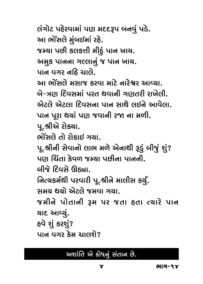લંગોટ પહેરવામાં પણ મદદરૂપ બનવું પડે.<br>આ ભોંસલે મુંબઈમાં રહે. જમ્યા પછી કલકત્તી મીઠું પાન ખાચ. અમુક પાનના ગલ્લાનું જ પાન ખાચ. પાન વગર નહિ ચાલે. આ ભોંસલે મસાજ કરવા માટે નારેશ્વર આવ્યા. <u>બે-ત્રણ દિવસમાં પરત થવાની ગણતરી રાખેલી.</u> એટલે એટલા દિવસના પાન સાથે લઈને આવેલા. પાન પૂરા થચાં પણ જવાની રજા ના મળી. પ.શ્રીએ રોક્યા. ભોંસલે તો રોકાઈ ગયા. પૂ.શ્રીની સેવાનો લાભ મળે એનાથી રૂડું બીજું શું? માગ ચિંતા કેવળ જમ્યા પછીના પાનની. લીજે દિવસે ઊઠ્યા. <u>નિત્યકર્મથી પરવારી પૂ.શ્રીને માલીસ કર્યું.</u> સમય થયો એટલે જમવા ગયા. જમીને પોતાની રૂમ પર જતા હતા ત્યારે પાન ચાદ આવ્યું. હવે શું કરશું? પાન વગર ફેમ ચાલશે? f∬ and an official {∐∰ and an official {

### આગંતિ એ કોર્ધનું સંતાન છે.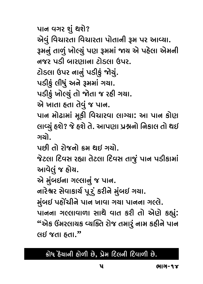પાન વગર શું થશે?<br>એવું વિચારતા વિચારતા પોતાની રૂમ પર આવ્યા. 3ૂમનું તાળું ખોલ્ચું પણ રૂમમાં જાચ એ પહેલા એમની નજર પડી બારણાના ટોડલા ઉપર. ટોડલા ઉપર નાનું પડીફું જોયું. ŸOÛ@¤OËÛ &f∑ …Û…⁄√ f¤O—x⁄√O @}⁄√. f¤O—x⁄√O Ë—A⁄√ #…@ TfifiÛ√ "}Û. પડીકું ખોલ્યું તો જોતા જ રહી ગ<mark>યા.</mark><br>એ ખાતા હતા તેવું જ પાન. પાન મોઢામાં મૂકી વિચારવા લાગ્યા: આ પાન કોણ

લાવ્યું હશે? જે હશે તે. આપણા પ્રશ્નનો નિકાલ તો થઈ  $\Sigma$ рай $\delta$ 

પછી તો રોજનો ક્રમ થઈ ગયો

જેટલા દિવસ રહ્યા તેટલા દિવસ તાજું પાન પડીકામાં આવેલું જ હોચ.

એ મુંબઈના ગલ્લાનું જ પાન.

નારેશ્વર સેવાકાર્ચ પૂર્ં કરીને મુંબઈ ગયા.

મુંબઈ પહોંચીને પાન ખાવા ગયા પાનના ગલ્લે.

પાનના ગલ્લાવાળા સાથે વાત કરી તો એણે કહ્યું: …………………………………………………………<br>"એક ઉંમરલાયક વ્યક્તિ રોજ તમારું નામ કઠીને પાન<br>લઈ જતા હતા <sup>?</sup>'  $\mathcal{C}$ . Ib& Ib $\mathcal{C}$ 

# ીધ હૈયાની હોળી છે, પ્રેમ દિલની દિવાળી છે.<br>હવાગ-૧૪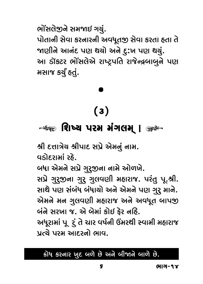ભોંસલેજીને સમજાઈ ગયું. પોતાની સેવા કરનારની અવધૂતજી સેવા કરતા હતા તે જાણીને આનંદ પણ થયો અને દુ:ખ પણ થયું. આ ડૉકટર ભોંસલેએ રાષ્ટ્રપતિ રાજેન્દ્રબાબુને પણ મસાજ કર્યું હતું.

# $\left( 3\right)$

### *~‱* શિષ્ય પરમ મંગલમ્ | <sub>জ</sub>≈-

શ્રી દત્તાત્રેય શ્રીપાદ સપ્રે એમનું નામ.

 $45$  $E$ રામાં રહે.

બધા એમને સપ્રે ગુરૂજીના નામે ઓળખે.

સપ્રે ગુરૂજીના ગુરૂ ગુલવણી મહારાજ. પરંતુ પૂ.શ્રી. સાથે પણ સંબંધ બંધાચો અને એમને પણ ગુરુ માને. એમને મન ગુલવણી મહારાજ અને અવધૂત બાપજી બંને સરખા જ. એ બેમાં કોઈ કેર નહિ. અધૂરામાં પૂર્રતે ચાર વર્ષની ઉંમરથી સ્વામી મહારાજ પત્ચે પરમ આદરનો ભાવ.

### ક્રોધ કરનાર ખુદ બળે છે અને બીજાને બાળે છે.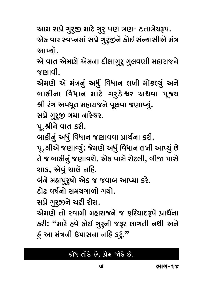$\mathcal{L}$ ے میں سے محبوب اللہ اللہ اللہ عام ہوتا ہے کہ کو بات عام  $\mathcal{L}$ #@xO \_Û∑ Õ\_c…fiÛ√ YfV@ "⁄∑⁄u…@ xOÛ@\$ Y√±}ÛY—#@ fi√L

en te #@ \_ÛE #@fio@ #@fi…Û pO—ÆÛ"⁄∑⁄ "⁄Ë\_o— fi˜Û∑ÛQÂ…@

.<br>એમણે એ મંત્રનું અર્ધુ વિધાન લખી મોકલ્ચું અને<br>બાકીના વિધાન માટે ગરૂડેશ્વર અશવા પ્રજ્ય બાકીના વિધાન માટે ગરુડેશ્વર અથવા પૂજ્ય શ્રી રંગ અવધૂત મહારાજને પૂછવા જણાવ્યું.<br>સપ્રે ગુરુજી ગચા નારેશ્વર.

 $y$ .श्रीने पात કરી.

ૂ<br>બાકીનું અર્ધુ વિધાન જણાવવા પ્રાર્થના કરી.<br>પ શ્રીએ જણાવ્યં∙ જેમણે અર્ધ વિધાન લાની

પૂ.શ્રીએ જણાવ્યું: જેમણે અર્ધુ વિધાન લખી આપ્યું છે<br>તે જ બાકીનું જણાવશે. એક પાસે રોટલી, બીજા પાસે શાક, એવું ચાલે નહિ.

બંને મહાપુર્ષો એક જ જવાબ આપ્યા કરે.

દોઢ વર્ષનો સમચગાળો ગયો.

સપ્રે ગુરૂજીને ચઢી રીસ.

એમણે તો સ્વામી મહારાજને જ ફરિયાદરૂપે પ્રાર્થના #@fio@ EÛ@ Õ\_Ûfi— fi˜Û∑ÛQÂ…@ QÂ lw∑}ÛpOTf@ fVÛZ™…Û xO∑—: **"**fiÛ∑@ ˜\_@ xOÛ@\$ "⁄∑⁄…— QÂT∑ ËÛ"E— …Z— #…@ <u>ઠ</u>ું આ મંત્રની ઉપાસના નહિ કરું."

# ીધ તોડે છે, પ્રેમ જોડે છે.<br>**છ**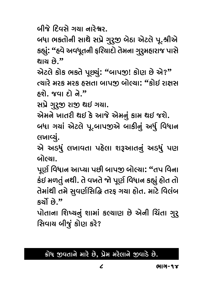બીજે દિવસે ગચા નારેશ્વર.

બધા ભકતોની સાથે સપ્રે ગુરુજી બેઠા એટલે પૂ.શ્રીએ<br>કહ્યું: ''ઠવે અવધતની કઝિયાદો તેમના ગુરમઠાગજ પાસે કહ્યું: ''હવે અવધૂતની ફરિયાદો તેમના ગુરૂમહારાજ પાસે ZÛ} ©Â@.**"**

#@ŸOË@ xOÛ@xO I®E@ f\N}⁄√: **"**µÛfu! xOÛ@o ©Â@ #@?**"** '}Û∑@ fi∑xO fi∑xO ˜YEÛ µÛfu µÛ@º}Û: **"**xOÛ@\$ ∑ÛÆY હશે. જવા દો <mark>ને.''</mark><br>સપ્રે ગુરૂજી રાજી થઈ ગયા.

એમને ખાતરી થઈ કે આજે એમનું કામ થઇ જશે. બધા ગચાં એટલે પૂ.બાપજીએ બાકીનું અર્ધુ વિધાન<br>લામાવ્યં

્ર<br>એ અર્ડ્યું લખાવતા પહેલા શરૂઆતનું અર્ડ્યું પણ<br>બોલ્ગા

… … …<br>પૂર્ણ વિધાન આપ્યા પછી બાપજી બોલ્યા: "તપ વિના<br>કંઈ મળતું નથી. તે વખતે જો પાર્ગ વિધાન કહ્યું હોત તો કંઈ મળતું નથી. તે વખતે જો પૂર્ણ વિધાન કહ્યું હોત તો<br>તેમાંથી તમે સુવર્ણસિદ્ધિ તરફ ગચા હોત. માટે વિલંબ સ્ચો છે.''<br>કર્યો છે.''<br>પોતાના ઊખ્ચનું શામાં ફુલ્સાણ છે એની ઊંતા ગર

 $\frac{1}{2}$  was a solid waband waa waa waxaa xoo waxaa xoo  $\frac{33}{2}$  $\frac{1}{2}$ 

# ∏કોધ જીવતાને મારે છે, પ્રેમ મરેલાને જીવાડે છે.<br>દૂધ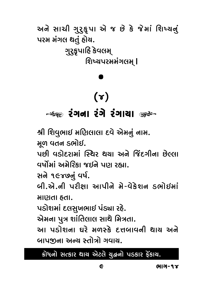અને સાચી ગુરુકૃપા એ જ છે કે જેમાં શિષ્ચનું<br>પરમ મંગલ થતું હોચ. ગુર્\$ુપાહિ કેવલમ્ શિષ્ચપરમમંગલમ્ **|**  $\mathbb{Z}^{\mathbb{Z}^{\mathbb{Z}^{\mathbb{Z}^{\mathbb{Z}^{\mathbb{Z}^{\mathbb{Z}^{\mathbb{Z}^{\mathbb{Z}^{\mathbb{Z}^{\mathbb{Z}^{\mathbb{Z}^{\mathbb{Z}^{\mathbb{Z}^{\mathbb{Z}^{\mathbb{Z}^{\mathbb{Z}^{\mathbb{Z}^{\mathbb{Z}^{\mathbb{Z}^{\mathbb{Z}^{\mathbb{Z}^{\mathbb{Z}^{\mathbb{Z}^{\mathbb{Z}^{\mathbb{Z}^{\mathbb{Z}^{\mathbb{Z}^{\mathbb{Z}^{\mathbb{Z}^{\mathbb{Z}^{\mathbb$ 

# $(\gamma)$ *~ધ્ર*ઢ રંગના રંગે રંગાચા જ્ર<del>ય</del>

श्री शिपुભાઈ મણિલાલા દવે એમનું નામ.<br>મૂળ વતન ડભોઈ.

પછી વડોદરામાં સ્થિર થયા અને જિંદગીના છેલ્લા <u>વર્ષોમાં અમેરિકા જઇલે પાગ રહ્યા.</u>

સને ૧૯૪૭નું વર્ષ.

બી.એ.ની પરીક્ષા આપીને મે-વેકેશન ડભોઇમાં  $H[Q]$ dl $\delta$ dl.

પડોશમાં દલસુખભાઈ પંડ્યા રહે.

એમના પુત્ર શાંતિલાલ સાથે મિત્રતા.

આ પડોશના ઘરે મળસ્કે દત્તબાવની થાય અને બાપજીના અન્ય સ્તોત્રો ગવાય.

 $\frac{1}{2}$ કોધનો સત્કાર થાય એટલે ચુદ્ધનો પડકાર ફેંકા<mark>ય.</mark><br>.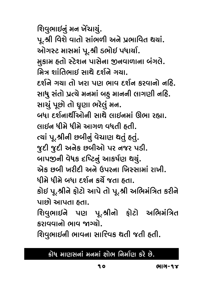શિવુભાઈનું મન ખેંચાચું.<br>પૂ.શ્રી વિશે વાતો સાંભળી અને પ્રભાવિત થચાં. ્ર<br>ઓગસ્ટ માસમાં પૂ.શ્રી ડભોઈ પધાર્થા.<br>મકામ ઠતો સ્ટેશન પાસેના જનવાળાના લંગલે મુકામ હતો સ્ટેશન પાસેના જીનવાળાના બંગલે.<br>મિત્ર શાંતિભાઈ સાથે દર્શને ગયા. દર્શને ગચા તો ખરા પણ ભાવ દર્શન કરવાનો નહિ. .<br>સાધુ સંતો પ્રત્યે મનમાં બહુ માનની લાગણી નહિ.<br>આગં પછો તો ઘણા ભરેલં મન …ુ ૂ…… ટૂ…….<br>બધા દર્શનાર્થીઓની સાથે લાઈનમાં ઊભા રહ્યા.<br>લાઈન ધીમે ધીમે આગળ વધતી હતી લાઇન ધીમે ધીમે આગળ વધતી હતી.<br>ત્યાં પૂ.શ્રીની છબીનું વેચાણ થતું હતું. જૂદી જૂદી અનેક છબીઓ પર નજર પડી. ુ…ુ…<br>બાપજીની વેધક દષ્ટિનું આકર્ષણ થયું.<br>એક છબી ખરીદી અને ઉપરના ખિસ્સામાં .<br>ધીમે ધીમે બધા દર્શન કર્ચે જતા હતા.<br>કોઈ પ શ્રીને કોટો આપે તો પ શ્રી અભિમંત્રિત ક કોઈ પૂ.શ્રીને ફોટો આપે તો પૂ.શ્રી અભિમંત્રિત કરીને<br>પાછો આપતા હતા. શિવુભાઈને પણ પૂ.શ્રીનો ફોટો અભિમંત્રિત કરાવવાનો ભાવ જાગ્યો.

શિવુભાઈની ભાવના સાત્ત્વિક થતી જતી હતી.  $\mathcal{O}$ 

ોધ માણસનાં મનમાં ક્ષોભ નિર્માણ કરે છે.<br>કા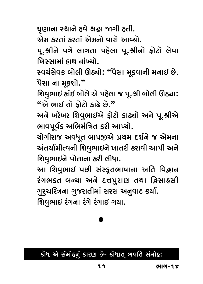ઘૃણાના સ્થાને હવે શ્રદ્ધા જાગી હતી.

એમ કરતાં કરતાં એમનો વારો આવ્યો.

પૂ.શ્રીને પગે લાગતા પહેલા પૂ.શ્રીનો ફોટો લેવા ખિસ્સામાં ઠાથ નાંખ્યો.

સ્વચંસેવક બોલી ઊઠ્યો: ''પેસા મૂકવાની મનાઈ છે. પેસા ના મૂકશો."

શિવુભાઈ કાંઈ બોલે એ પહેલા જ પૂ.શ્રી બોલી ઊઠ્યા: ''એ ભાઈ તો કોટો કાઢે છે.''

અને ખરેખર શિવુભાઈએ ફોટો કાઢ્યો અને પૂ.શ્રીએ ભાવપૂર્વક અભિમંત્રિત કરી આપ્યો.

ચોગીરાજ અવધૂત બાપજીએ પ્રથમ દર્શને જ એમના અંતર્યામીત્વની શિવુભાઈને ખાતરી કરાવી આપી અને શિવુભાઈને પોતાના કરી લીધા.

આ શિવુભાઈ પછી સંસ્કૃતભાષાના અતિ વિદ્વાન રંગભકત બન્યા અને દત્તપુરાણ તથા દ્વિસાહસી ગુરૂચરિત્રના ગુજરાતીમાં સરસ અનુવાદ કર્યા.

શિવુભાઈ રંગના રંગે રંગાઈ ગયા.

### ક્રોધ એ સંમોહનું કારણ છે- ક્રોધાત્ ભવતિ સંમોહ: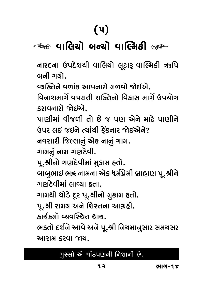# (5) \_ÛwË}Û@ µ±}Û@ \_Û»ºfixOfl \_ÛwË}Û@

નારદના ઉપદેશથી વાલિચો લૂટારૂ વાલ્મિકી ઋષિ<br>બની ગયો

વ્યક્તિને વર્ળાક આપનારો મળવો જોઈએ.

ણિભાશમાર્ગે વપરાતી શક્તિનો વિકાસ માર્ગે ઉપરોગ ww.esiawon.es

<u>પાણીમાં વીજળી તો છે જ પણ એને માટે પાણીને</u> ઉપર લઈ જઈને ત્યાંથી ફેંકનાર જોઈએને?

નવસારી જિલ્લાનું એક નાનું ગામ.

ગામનું નામ ગણદેવી.

પૂ.શ્રીનો ગણદેવીમાં મુકામ હતો.

્ર<br>બાબુભાઈ ભકે નામના એક ધર્મપ્રેમી બ્રાહ્મણ પૂ.શ્રીને<br>ગાગદેવીમાં લાવ્યા હતા

ગામથી થોડે દૂર પૂ.શ્રીનો મુકામ હતો.

પૂ.શ્રી સમય અને શિસ્તના આગ્રહી.

કાર્ચક્રમો વ્યવસ્થિત થાચ.

ભકતો દર્શને આવે અને પૂ.શ્રી નિચમાનુસાર સમયસર  $B$  populate  $B$ #Û∑Ûfi xO∑\_Û }.

# "⁄ÕYÛ@ #@ "Û√¤Ofo…— w…BÛ…— ©Â@.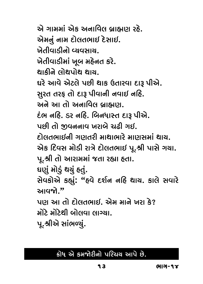એ ગામમાં એક અનાવિલ બ્રાહ્મણ રહે. એમનું નામ દોલતભાઈ દેસાઈ. ખેતીવાડીનો વ્યવસાય. ખેતીવાડીમાં ખૂબ મહેનત કરે. શાકીને લોશપોશ શાચ ઘરે આવે એટલે પછી થાક ઉતારવા દારૂ પીએ. સુરત તરફ તો દારૂ પીવાની નવાઈ નહિ. અને આ તો અનાવિલ બ્રાહ્મણ. દંભ નહિ. ડર નહિ. બિનધાસ્ત દારૂ પીએ. પછી તો જીવનનાવ ખરાબે ચઢી ગઈ. દોલતભાઈની ગણતરી માથાભારે માણસમાં થાચ. એક દિવસ મોડી રાત્રે દોલતભાઈ પૂ.શ્રી પાસે ગયા. પૂ.શ્રી તો આરામમાં જતા રહ્યા હતા. ઘણું મોડું થયું હતું. સેવકોએ કહ્યું: "હવે દર્શન નહિ થાચ. કાલે સવારે આવજો.'' પાગ આ તો દોલતભાઈ. એમ માને ખરા કે? મોટે મોટેથી બોલવા લાગ્યા. પૂ.શ્રીએ સાંભળ્યું.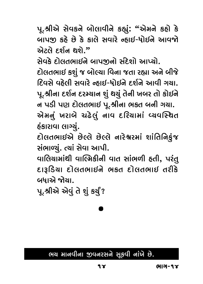પૂ.શ્રીએ સેવકને બોલાવીને કહ્યું: "એમને કહો કે બાપજી કહે છે કે કાલે સવારે ન્હાઈ-ધોઈને આવજો એટલે દર્શન થશે.''<br>સેવકે દોલતભાઈને બાપજીનો સંદેશો આપ્યો.

દોલતભાઈ કશું જ બોલ્ચા વિના જતા રહ્યા અને બીજે .<br>દિવસે વહેલી સવારે ન્હાઈ-ધોઈને દર્શને આવી ગયા.<br>પ શ્રીના દર્શન દરસ્યાન શું શરૂં તેની ખૂબર તો કોઈને પૂ.શ્રીના દર્શન દરમ્યાન શું થયું તેની ખબર તો કોઈને<br>ન પડી પણ દોલતભાઈ પૂ.શ્રીના ભક્ત બની ગયા.

એમનું ખરાબે ચઢેલું નાવ દરિયામાં વ્યવસ્થિત &ંકારાવા લાગ્યું.

દોલતભાઈએ છેલ્લે છેલ્લે નારેશ્વરમાં શાંતિનિકું**જ** <u>સંભાળ્યું. ત્યાં સેવા આપી.</u>

વાલિચામાંથી વાલ્મિકીની વાત સાંભળી હતી, પરંતુ દારૂડિયા દોલતભાઈને ભક્ત દોલતભાઈ **તરીકે** pOÛTw¤O}Û pOÛ@ËEIÛ\$…@ I®E pOÛ@ËEIÛ\$ E∑—x@O µAÛ#@ @}Û.

પૂ.શ્રીએ એવું તે શું કર્યું?

# $\frac{1}{2}$  find  $\frac{1}{2}$  of  $\frac{1}{2}$  find  $\frac{1}{2}$   $\frac{1}{2}$

.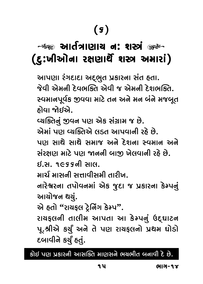# -<sup>୬</sup>େ ନାଧିଧାଗାମ **ଦ: ଶ**କ୍ଷ୍ମ<br>- <sup>ଜ</sup>େ କାଧିଧାଗାମ ଦ: ଶର୍*ଧ* <sup>ଅ</sup> (દુ:ખીઓના રક્ષણાર્થે શસ્ત્ર અમારાં)  $\omega$  and  $\omega$  and  $\omega$

આપણા રંગદાદા અદ્ભુત પ્રકારના સંત હતા.<br>જેવી એમની દેવભક્તિ એવી જ એમની દેશભક્તિ. સ્વમાનપૂર્વક જીવવા માટે તન અને મન બંને મજબૂત  $\delta$ ોવા જોઈએ.

વ્યક્તિનું જીવન પણ એક સંગ્રામ જ છે.

એમાં પણ વ્યક્તિએ લડત આપવાની રહે છે.

પણ સાથે સાથે સમાજ અને દેશના સ્વમાન અને સંરક્ષણ માટે પણ જાનની બાજી ખેલવાની રહે છે.

 $E(X, Y) = E(X, Y)E(X, Y)$ 

માર્ચ માસની સત્તાવીસમી તારીખ.

નારેશ્વરના તપોવનમાં એક જુદા જ પ્રકારના કેમ્પનું આચોજન થયું.

્ર<br>એ હતો ''રાચફલ ટ્રેનિંગ કેમ્પ''.<br>ચાયકલની તાલીમ આપતા અ

રાચફલની તાલીમ આપતા આ કેમ્પનું ઉદ્ઘાટન<br>પૂ.શ્રીએ કર્યું અને તે પણ રાચફલનો પ્રથમ ઘોડો દબાવીને કર્યું હતું.

 $\frac{1}{2}$ <u>xo fo for film and particle</u>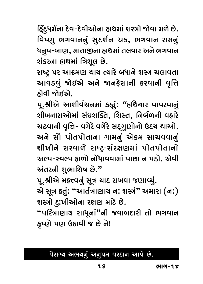હિંદુધર્મના દેવ-દેવીઓના હાથમાં શસ્ત્રો જોવા મળે છે.<br>વિષ્ણુ ભગવાનનું સુદર્શન ચક્ર, ભગવાન રામનું ~~ ૱~~~~~ ૢ ૱<br>ધનુષ-બાણ, માતાજીના હાથમાં તલવાર અને ભગવાન<br>શંકરના ઠાશમાં ત્રિશલ છે

્ર<br>ટાષ્ટ્ર પર આક્રમણ થાચ ત્યારે બધાને શસ્ત્ર ચલાવતા<br>આવડવં જોઈએ. અને જાનકેસાની કરવાની વૃત્તિ આવડવું જોઇએ અને જાનફેસાની કરવાની વૃત્તિ<br>હોવી જોઈએ

~- …<br>પૂ.શ્રીએ આશીર્વચનમાં કહ્યું: "દથિયાર વાપરવાનું<br>શીખનારાઓમાં સંઘશક્તિ, શિસ્ત, નિર્બળની વઠારે શીખનારાઓમાં સંઘશક્તિ, શિસ્ત, નિર્બળની વહારે<br>ચઢવાની વૃત્તિ- વગેરે વગેરે સદ્ગુણોનો ઉદચ થાઓ. અને સૌ પોતપોતાના ગામનું એકમ સાચવવાનું શીખીને સરવાળે રાષ્ટ્ર-સંરક્ષણમાં પોતપોતાનો B—«—…@ Y∑\_Û¥@ ∑Û‰§-Y√∑ÆofiÛ√ fÛ@EfÛ@EÛ…Û@ #ºf-Õ\_ºf lÛ¥Û@ …Û@>AÛ\_\_ÛfiÛ√ fÛ©ÂÛ … f¤OÛ@. #@\_— અંતરની શુભાશિષ છે.''<br>પૂ.શ્રીએ મહત્ત્વનું સૂત્ર ચાદ રાખવા જણાવ્યું.

~<br>એ સૂત્ર હતું: ''આર્તત્રાણાય ન: શસ્ત્રં'' અમારા (ન:)<br>શસ્ત્રો *દ*ામીઓના સ્થાગ માટે છે

BmÛ@ p⁄:«—#Û@…Û ∑Æo fiÛŸ@O ©Â@. **"**fw∑LÛoÛ} YÛA\…Û√**"**…— QÂ\_ÛµpOÛ∑— EÛ@ I"\_Û… ફૃષ્ણે પણ ઉઠાવી જ છે ને!

# યેરાગ્ય અભયનું અનુપમ વરદાન આપે છે.<br>૧૬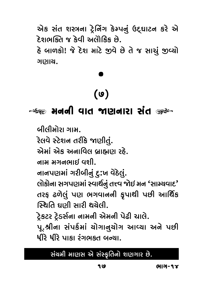એક સંત શસ્ત્રના ટ્રેનિંગ કેમ્પનું ઉદ્ઘાટન કરે એ દેશભક્તિ જ કેવી અલૌકિક છે. હે બાળકો! જે દેશ માટે જીવે છે તે જ સાચું જીવ્યો ગણાચ.

## $(\mathbf{v})$

### ~‱ મનની વાત **જાણનારા સંત**ુજ~

બીલીમોરા ગામ. રેલવે સ્ટેશન તરીકે જાણીતું. એમાં એક અનાવિલ બાહ્યાગ રહે. નામ મગનભાઈ વશી. નાનપણમાં ગરીબીનું દુ:ખ વેઠેલું. લોકોના સગપણમાં સ્વાર્થનું તત્ત્વ જોઈ મન 'સામ્ચવાદ' તરફ ઢળેલું પણ ભગવાનની કૃપાથી પછી આર્થિક સ્થિતિ ઘાગી સારી શરોતી. ટ્રેકટર ટ્રેડર્સના નામની એમની પેઢી ચાલે. પૂ.શ્રીના સંપર્કમાં ચોગાનુચોગ આવ્યા અને પછી ધીરે ધીરે પાકા રંગભકત બન્યા.

### સંચમી માણસ એ સંસ્કૃતિનો શણગાર છે.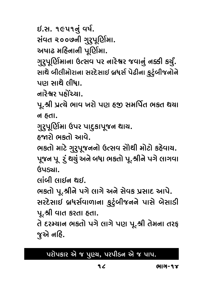ઈ.સ. ૧૯૫૧નું વર્ષ.<br>સંવત ૨૦૦૭ની ગુરૃપૂર્ણિમા.

અષાઢ મહિનાની પૂર્ણિમા.

ગુરૂપૂર્ણિમાના ઉત્સવ પર નારેશ્વર જવાનું નક્કી કર્યું. ્ૐ ૢૻૻૺ<br>સાથે બીલીમોરાના સરદેસાઈ બ્રધર્સ પેઢીના કુટુંબીજનોને<br>પણ સાથે બીધા પણ સાથે લીધા.<br>નારેશ્વર પહોંચ્યા.

પૂ.શ્રી પ્રત્યે ભાવ ખરો પણ હજી સમર્પિત ભકત થયા  $\frac{1}{2}$  for  $\frac{1}{2}$   $\frac{1}{2}$  ( $\frac{1}{2}$   $\frac{1}{2}$   $\frac{1}{2}$   $\frac{1}{2}$   $\frac{1}{2}$   $\frac{1}{2}$   $\frac{1}{2}$   $\frac{1}{2}$   $\frac{1}{2}$   $\frac{1}{2}$   $\frac{1}{2}$   $\frac{1}{2}$   $\frac{1}{2}$   $\frac{1}{2}$   $\frac{1}{2}$   $\frac{1}{2}$   $\frac{1}{2}$   $\frac{1}{2}$   $\frac{1}{$ 

ગુર્પૂર્ણિમા ઉપર પાદુકાપૂજન થાય.

*ઠ*જારો ભકતો આવે.

ભકતો માટે ગુરૂપૂજનનો ઉત્સવ સોથી મોટો કહેવાચ. I®EÛ@ fiÛŸ@O "⁄∑⁄f\QÂ……Û@ &'Y\_ YÛ≠Z— fiÛ@ŸOÛ@ xO˜@\_Û}. f\QÂ… f\ ∑Â⁄√ Z}⁄√ #…@ µAÛ I®EÛ@ f\.C—…@ f"@ ËÛ"\_Û

લાંબી લાઈન થઈ.

ભકતો પૂ.શ્રીને પગે લાગે અને સેવક પ્રસાદ આપે.

I®EÛ@ f\.C—…@ f"@ ËÛ"@ #…@ Y@\_xO fVYÛpO #Ûf@. Y∑p@OYÛ\$ µVAY™\_Û¥Û…Û x⁄OŸ⁄√Oµ—QÂ……@ fÛY@ µ@YÛ¤O—

 $\sigma$  is a set of  $\sigma$  $\sim$ يات المركب المركب المركب المركب المركب المركب المركب المركب المركب المركب المركب المركب المركب المركب المركب ا  $\ddot{\phantom{0}}$ 

# તિ જ પુણ્ય, પરપીડન એ જ પાપ.<br>વેંદિન્ન જણાવી જોડી માટે આગ-૧૪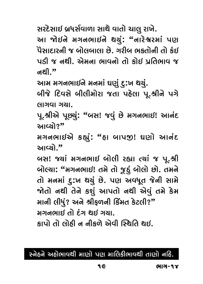સરદેસાઈ બ્રંધર્સવાળા સાથે વાતો ચાલુ રાખે.

આ જોઇને મગનભાઈને થયું: "નારેશ્વરમાં પણ<br>પૈસાદારની જ બોલબાલા છે. ગરીબ ભક્તોની તો કંઈ પડી જ નથી. એમના ભાવનો તો કોઈ પ્રતિભાવ જ  $\mathbb{R}^{|\mathfrak{D}|}}$  " નથી.''<br>આમ મગનભાઈને મનમાં ઘણું <u>દુ</u>:ખ થયું.

બીજે દિવસે બીલીમોરા જતા પહેલા પૂ.શ્રીને પગે  $H$ 

… …………<br>પૂ.શ્રીએ પૂછ્યું: "બસ! જવું છે મગનભાઈ! આનંદ<br>આવ્યો?" આવ્યો?"

**મગનભાઈએ કહ્યું: "હા બાપજી! ઘણો આનંદ** આવ્યો.''<br>બસ! જ્યાં મગનભાઈ બોલી રહ્યા ત્યાં જ પૂ.શ્રી

µY! ƒ}Û√ fi"…IÛ\$ µÛ@Ë— ∑·Û '}Û√ QÂ f\.C— µÛ@º}Û: **"**fi"…IÛ\$! Efi@ EÛ@ QÂ\ sOÂ⁄√ µÛ@ËÛ@ ©ÂÛ@. Efi…@ તો મનમાં દુ:ખ થચું છે. પણ અવધૂત જેની સામે<br>જોતો નથી તેને કશું આપતો નથી એવું તમે કેમ @EÛ@ …Z— E@…@ xOB⁄√ #ÛfEÛ@ …Z— #@\_⁄√ Efi@ x@Ofi fiÛ…— Ë—A⁄√? #…@ C—l¥…— wxO>fiE x@OŸOË—?**"**

કાપો તો લોઠી ન નીકળે એવી સ્થિતિ થઈ. xOÛfÛ@ EÛ@ ËÛ@˜— … …—xO¥@ #@\_— »ÕZwE Z\$.

Õ…@˜…@ #˜Û@IÛ\_Z— fiÛoÛ@ fo fiÛwËxOflIÛ\_Z— EÛoÛ@ …w˜.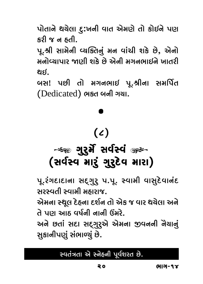પોતાને થચેલા દુ:ખની વાત એમણે તો કોઈને પણ<br>કરી જ ન ઠતી

પૂ.શ્રી સામેની વ્યક્તિનું મન વાંચી શકે છે, એનો મનોવ્યાપાર જાણી શકે છે એની મગનભાઈને ખાતરી  $\frac{1}{2}$ 

બસ! પછી તો મગનભાઈ પૂ.શ્રીના સમર્પિત  $(Dedicated)$  ભકત બની ગયા.

## $(2)$ ~‰ ગુરૂર્મે સર્વસ્વં જ્ર ∕≫ ™ ™<br>™ ∂∕∂∕ ™ ™  $\sqrt{9}$  find  $\sqrt{9}$

પૂ.રંગદાદાના સદ્ગુરુ પ.પૂ. સ્વામી વાસુદેવાનંદ<br>સરસ્વતી સ્વામી મઠારાજ.

એમના સ્થૂલ દેહના દર્શન તો એક જ વાર થયેલા અને <u>તે પણ આઠ વર્ષની નાની ઉંમરે.</u>

અને છતાં સદા સદ્ગુરૂએ એમના જીવનની નૈયાનું  $\sim$ ് $\sim$ ുള്തിന്റെ  $\omega$  $\mathcal{P}$   $\mathcal{P}$   $\mathcal{P}$ 

# $\sum_{i=1}^n$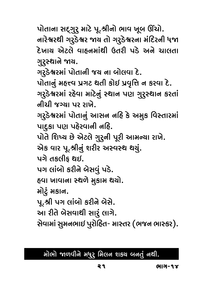્ર<br>નારેશ્વરથી ગરુડેશ્વર જાચ તો ગરુડેશ્વરના મંદિરની ધજા<br>કેખણ એટલે વાહનમાંથી ઉતરી પડે અને રાાલતા ગુરૂસ્થાને જાચ. ગરૂડેશ્વરમાં પોતાની જચ ના બોલવા દે. પોતાનું મહત્ત્વ પ્રગટ થતી કોઈ પ્રવૃત્તિ ન કરવા દે. ગરૂડેશ્વરમાં રહેવા માટેનું સ્થાન પણ ગુરૂસ્થાન કરતાં  $\overline{d}$ ચીઓ જગ્યા પર રાખે. ગરૂડેશ્વરમાં પોતાનું આસન નહિ કે અમુક વિસ્તારમાં પાદકા પણ પહેરવાની નહિ. પોતે શિષ્ચ છે એટલે ગુરુની પૂરી આમન્યા રાખે. એક વાર પૂ.શ્રીનું શરીર અસ્વસ્થ થયું. પગે તકલીક થઈ. પગ લાંબો કરીને બેસવું પડે. હવા ખાવાના સ્થળે મુકામ થયો. મોટું મકાન.

પૂ.શ્રી પગ લાંબો કરીને બેસે.

આ રીતે બેસવાથી સારું લાગે.

 $\frac{1}{2}$ ادر،  $\frac{1}{2}$ اماملاند إندری  $\ddot{\mathcal{O}}$ 

# fing in the shall what wish with the shall.<br>Ramon-arm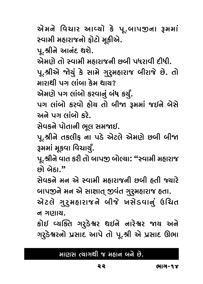એમને વિચાર આવ્યો કે પૂ.બાપજીના રૂમમાં<br>સ્વામી મહારાજનો કોટો મકીએ.

પૂ.શ્રીને આનંદ થશે.

્ર<br>એમણે તો સ્વામી મહારાજની છબી પધરાવી દીધી.<br>પ શ્રીએ જેચું કે સામે ગુરમઠારાજ બીરાજે છે.

પૂ.શ્રીએ જોયું કે સામે ગુરુમહારાજ બીરાજે છે. તો<br>મારાથી પગ લાંબા કેમ થાચ?

એમણે પગ લાંબો કરવાનું બંધ કર્યું.<br>પગ લાંબો કરવો ઠોચ તો બીજા ર

પગ લાંબો કરવો હોચ તો બીજા રૂમમાં જઈને બેસે<br>અને પગ લાંબો કરે

સેવકને પોતાની ભૂલ સમજાઈ.

પૂ.શ્રીને તકલીફ ના પડે એટલે એમણે છબી બીજા રૂમમાં મૂકવા વિચાર્યું.

્.<br>પૂ.શ્રીને વાત કરી તો બાપજી બોલ્યા: "સ્વામી મહારાજ<br><sup>હો</sup> બેઠા '' છો બેઠા.''<br>સેવકને મન એ સ્વામી મઠારાજની છબી ઠતી જ્યારે

બાપજીને મન એ સાક્ષાત્ જીવંત ગુરૂમહારાજ હતા.

i …<br>Gûj ™nosten &po Palciarcic Rete  $\frac{3}{2}$  ,  $\frac{3}{2}$  ,  $\frac{3}{2}$  ,  $\frac{3}{2}$  ,  $\frac{3}{2}$  ,  $\frac{3}{2}$  ,  $\frac{3}{2}$  ,  $\frac{3}{2}$  ,  $\frac{3}{2}$  ,  $\frac{3}{2}$ 

કોઈ વ્યક્તિ ગરૂડેશ્વર થઇને નારેશ્વર જાય અને  $\sim$ ראכון הכן היום די היובון הכוצאכונט ביציע צובון ביציע. "∑⁄¤@OU∑…Û@ fVYÛpO #Ûf@ EÛ@ f\.C— #@ fVYÛpO ≥IÛ

fiÛoY '}Û"Z— QÂ fi˜Û… µ…@ ©Â@.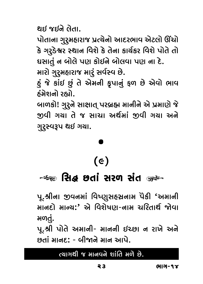થઈ જઈને લેતા.

પોતાના ગુરૂમહારાજ પ્રત્યેનો આદરભાવ એટલો ઊંચો કે ગરૂડેશ્વર સ્થાન વિશે કે તેના કાર્ચકર વિશે પોતે તો ઘસાતું ન બોલે પણ કોઈને બોલવા પણ ના દે.

મારો ગુરૂમહારાજ મારૂં સર્વસ્વ છે.

હું જે કાંઇ છું તે એમની કૃપાનું ફળ છે એવો ભાવ તિકલ નિર્ણયકં

બાળકો! ગુરૂને સાક્ષાત્ પરબ્રહ્મ માનીને એ પ્રમાણે જે જીવી ગયા તે જ સાચા અર્થમાં જીવી ગયા અને ગુરૂસ્વરૂપ થઈ ગયા.

## $(e)$

### <u>- અ્જ્ર સિદ્ધ છતાં સરળ સંત જ્ગસ્ત </u>

પૂ.શ્રીના જીવનમાં વિષ્ણુસહસ્રનામ પૈકી 'અમાની માનદો માન્ય:' એ વિશેષણ-નામ ચરિતાર્થ જોવા મળતું.

પૂ.શ્રી પોતે અમાની- માનની ઈચ્છા ન રાખે અને છતાં માનદ: - બીજાને માન આપે.

ત્યાગથી જ માનવને શાંતિ મળે છે.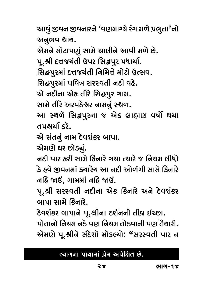આવું જીવન જીવનારને 'વણમાગ્ચે રંગ મળે પ્રભુતા'નો<br>અનુભવ થાય.

એમને મોટાપણું સામે ચાલીને આવી મળે છે.

્ર્રેગ વ્યવસ્થી આપણી આપણી.<br>પૂ.શ્રી દત્તજચંતી ઉપર સિદ્ધપુર પદ્માર્થા.<br>ત્રિહ્મારમાં દત્તજચંતી નિમિત્તે મોટો ઉત્સવ

સિદ્ધપુરમાં દત્તજચંતી નિમિત્તે મોટો ઉત્સવ.<br>સિદ્ધપુરમાં પવિત્ર સરસ્વતી નદી વહે.

એ નદીના એક તીરે સિદ્ધપુર ગામ.

સામે તીરે અરવડેશ્વર નામનું સ્થળ.

આ સ્થળે સિદ્ધપુરના જ એક બ્રાહ્મણ વર્ષો થયા તપશ્ચર્યા કરે.

એ સંતનું નામ દેવશંકર બાપા.

એમણે ઘર છોડ્યું.

#@fio@ n∑ ©ÂÛ@g⁄√. …pO— fÛ∑ xO∑— YÛfi@ wxO…Û∑@ "}Û '}Û∑@ QÂ w…}fi Ë—AÛ@ કે હવે જીવનમાં કચારેચ આ નદી ઓળંગી સામે કિનારે<br>નહિ જાઉં, ગામમાં નહિ જાઉં.

પૂ.શ્રી સરસ્વતી નદીના એક કિનારે અને દેવશંકર .<br>બાપા સામે કિનારે.

દેવશંકર બાપાને પૂ.શ્રીના દર્શનની તીવ્ર ઇચ્છા.

પોતાનો નિચમ નડે પણ નિચમ તોડવાની પણ તૈયારી. .<br>એમણે પૂ.શ્રીને સંદેશો મોકલ્યો: "સરસ્વતી પાર ન

### ત્યાગના પાચામાં પ્રેમ અપેક્ષિત છે. '}Û"…Û fÛ}ÛfiÛ√ fV@fi #f@wÆE ©Â@.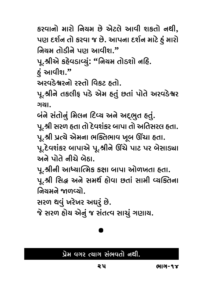કરવાનો મારો નિચમ છે એટલે આવી શકતો નથી,<br>પણ દર્શન તો કરવા જ છે. આપના દર્શન માટે હં મારો fo pOB™… EÛ@ xO∑\_Û Q ©Â@. #Ûf…Û pOB™… fiÛŸ@O ˜÷√ fiÛ∑Û@ w…}fi EÛ@¤O—…@ fo #Û\_—B.**"**

પૂ.શ્રીએ કહેવડાવ્યું**: ''**નિયમ તોડશો નહિ.

ઠું આવીશ.''<br>અરવડેશ્વરનો રસ્તો વિકટ **હતો**.

પૂ.શ્રીને તકલીફ પડે એમ હતું છતાં પોતે અરવડેશ્વર باد الحرار بي المصري الصلاح الصلاح المركب المركب المركب العربي.<br>العالم

બંને સંતોનું મિલન દિવ્ય અને અદ્ભુત હતું. પૂ.શ્રી સરળ હતા તો દેવશંકર બાપા તો અતિસરલ હતા.

પૂ.શ્રી પ્રત્યે એમના ભક્તિભાવ ખૂબ ઊંચા હતા. પૂ.દેવશંકર બાપાએ પૂ.શ્રીને ઊંચે પાટ પર બેસાડ્યા અને પોતે નીચે બે**દા** 

#…@ fÛ@E@ …—{@ µ@sOÛ. f\.C—…— #Û◊}Û»'fixO xOÆÛ µÛfÛ #Û@¥«EÛ ˜EÛ. પૂ.શ્રી સિદ્ધ અને સમર્થ હોવા છતાં સામી વ્યક્તિના<br>નિચમને જાળવ્યો

સરળ થવું ખરેખર અઘરૂં છે.

Y∑¥ Z\_⁄√ «∑@«∑ #n∑⁄√ ©Â@. QÂ@ Y∑¥ ˜Û@} #@…⁄√ QÂ Y√E'\_ YÛ{⁄√ "oÛ}.

### <u>પ્રેમ વગર ત્યાગ સંભવતો નથી.</u> <u>fi a de este este este este este este</u>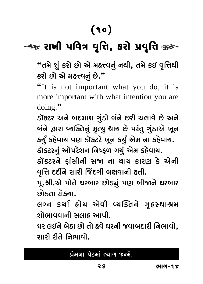# ન્ક્ર્જ્ રાખી પવિત્ર વૃત્તિ, કરો પ્રવૃત્તિ જ્રસ્ન

''તમે શું કરો છો એ મહત્ત્વનું નથી, તમે કઈ વૃત્તિથી કરો છો એ મહત્ત્વનું છે."

"It is not important what you do, it is more important with what intention you are  $\binom{1}{2}$ 

ડૉકટર અને બદમાશ ગુંડો બંને છરી ચલાવે છે અને બંને દ્વારા વ્યક્તિનું મૃત્યુ થાય છે પરંતુ ગુંડાએ ખૂન કર્યું કહેવાચ પણ ડૉકટરે ખૂન કર્યું એમ ના કહેવાચ.

ડૉકટરનું ઓપરેશન નિષ્ફળ ગયું એમ કહેવાચ.

ડૉકટરને ફાંસીની સજા ના થાય કારણ કે એની વૃત્તિ દર્દીને સારી જિંદગી બક્ષવાની હતી.

પૂ.શ્રી.એ પોતે ઘરબાર છોડ્યું પણ બીજાને ઘરબાર છોડતા રોક્ચા.

લગ્ન કર્યા હોય એવી વ્યક્તિને ગૃહસ્થાશ્રમ શોભાવવાની સલાઠ આપી.

ઘર લઈને બેઠા છો તો હવે ઘરની જવાબદારી નિભાવો, સારી રીતે નિભાવો.

### प्रेमना पेटमां त्याग ४न्मे.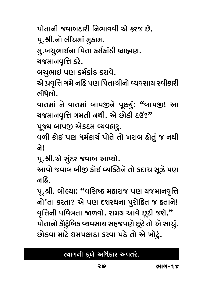પોતાની જવાબદારી નિભાવવી એ ફરજ છે.<br>પૂ.શ્રી.નો લીંચમાં મુકામ.

મુ.બચુભાઈના પિતા કર્મકાંડી બ્રાહ્મણ.

ચજમાનવૃત્તિ કરે.

બચુભાઈ પણ કર્મકાંડ કરાવે.

 $\sim$ رام $\mu$  ادرار ج $\mu$ ه لارد لح  $\mathcal{A}(\mathcal{B},\mathcal{C})$ લીધેલો.

વાતમાં ને વાતમાં બાપજીને પૂછ્યું: "બાપજી! આ ચજમાનવૃત્તિ ગમતી નથી. એ છોડી દઉં?''<br>પુજ્ય બાપજી એકદમ વ્યવહાર્.

્<br>વળી કોઈ પણ ધર્મકાર્ચ પોતે તો ખરાબ હોતું જ નથી<br>તેમ

પૂ.શ્રી.એ સુંદર જવાબ આપ્યો.

ો હતાલ ભુજ કારા લગકર<br>આવા આપ થી  $40<sup>6</sup>$ 

્ર<br>પૂ.શ્રી. બોલ્યા: ''વસિષ્ઠ મહારાજ પણ ચજમાનવૃત્તિ<br>નો<sup>?</sup>તા કરતા? એ પણ દશરથના પરોકિત જ હતાને! નો'તા કરતા? એ પણ દશરથના પુરોહિત જ હતાને! વૃત્તિની પવિત્રતા જાળવો. સમચ આવે છૂટી જશે.''<br>પોતાનો કોરંબિક વ્યવસાય સહજપણે છૂટે તો એ સાચું. છોડવા માટે ધમપછાડા કરવા પડે તો એ ખોટું.  $\overline{O}$ 

# ત્યાગની કૂખે અધિકાર અવતરે.<br>**૨**૭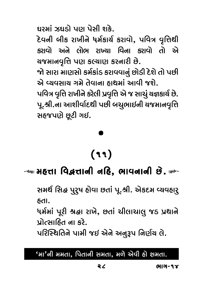ઘરમાં ઝઘડો પણ પેસી શકે.

્રદેવની બીક રાખીને ધર્મકાર્ચ કરાવો, પવિત્ર વૃત્તિથી<br>ક્યુવો અને લોબ ગામ્યા વિના ક્યુવો તો એ ક્ટાવો અને લોભ રાખ્યા વિના કરાવો તો એ<br>ચજમાનવૃત્તિ પણ કલ્ચાણ કરનારી છે.

<u>જો સારા માણસો કર્મકાંડ કરાવવાનું છોડી દેશે તો પછી</u> એ વ્યવસાય ગમે તેવાના ઠાથમાં આવી જશે. પવિત્ર વૃત્તિ રાખીને કરેલી પ્રવૃત્તિ એ જ સાચું ચજ્ઞકાર્ય છે. પૂ.શ્રી.ના આશીર્વાદથી પછી બચુભાઈની ચજમાનવૃત્તિ  $\kappa$  for a number for  $\beta$  in the form  $\zeta$  .

 $\sim$   $\sim$   $\sim$ 

### $(99)$  $\frac{1}{\sqrt{1-\frac{1}{\sqrt{1-\frac{1}{\sqrt{1-\frac{1}{\sqrt{1-\frac{1}{\sqrt{1-\frac{1}{\sqrt{1-\frac{1}{\sqrt{1-\frac{1}{\sqrt{1-\frac{1}{\sqrt{1-\frac{1}{\sqrt{1-\frac{1}{\sqrt{1-\frac{1}{\sqrt{1-\frac{1}{\sqrt{1-\frac{1}{\sqrt{1-\frac{1}{\sqrt{1-\frac{1}{\sqrt{1-\frac{1}{\sqrt{1-\frac{1}{\sqrt{1-\frac{1}{\sqrt{1-\frac{1}{\sqrt{1-\frac{1}{\sqrt{1-\frac{1}{\sqrt{1+\frac{1}{\sqrt{1-\frac{1}{\sqrt{1+\frac{1$

# finds for  $\mathcal{L}$  with  $\mathcal{L}$  with  $\mathcal{L}$  with  $\mathcal{L}$  with  $\mathcal{L}$  with  $\mathcal{L}$  with  $\mathcal{L}$

સમર્થ સિદ્ધ પુરુષ હોવા છતાં પૂ.શ્રી. એકદમ વ્યવહારુ<br>હતા.

~<br>ધર્મમાં પૂરી શ્રદ્ધા રાખે, છતાં ચીલાચાલુ જડ પ્રથાને<br>પોત્સાઠિત ના કરે

પરિસ્થિતિને પામી જઈ એને અનુરૂપ નિર્ણય લે.  $\frac{1}{2}$ 

**'**fiÛ**'**…— fifiEÛ, wfEÛ…— YfiEÛ, fi¥@ #@\_— ˜Û@ ÆfiEÛ.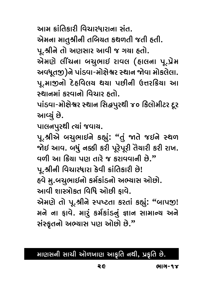આમ ક્રાંતિકારી વિચારધારાના સંત.<br>એમના માત્4્રીની તબિચત કથળતી જતી હતી.

પૂ.શ્રીને તો અણસાર આવી જ ગયા હતો.

એમણે લીંચના બચુભાઈ રાવલ (હાલના પૂ.પ્રેમ .<br>અવધૂતજી)ને પાંડવા-મોક્ષેશ્વર સ્થાન જોવા મોકલેલા.<br>આ માજનો દેહવિલય શયા અલીની ઉત્તરકિયા આ પૂ.માજીનો દેહવિલચ થચા પછીની ઉત્તરક્રિયા આ<br>સ્થાનમાં કરવાનો વિચાર હ્તો

ÕZÛ…fiÛ√ xO∑\_Û…Û@ w\_{Û∑ ˜EÛ@.  $f(x) = f(x) + f(x)$ આવ્યું છે.<br>પાલનપુરથી ત્યાં જવાય.

પૂ.શ્રીએ બચુભાઇને કહ્યું: ''તું જાતે જઇને સ્થળ<br>જોઈ આવા બધું નક્કી કરી પરેપરી તૈરાણી કરી ગામ જોઈ આવ. બધું નક્કી કરી પૂરેપૂરી તૈયારી કરી રાખ.  $4$  ug) આ કિયા પણ તારે જ કરાવવાની છે.<sup>"</sup>

પૂ.શ્રીની વિચારધારા કેવી ક્રાંતિકારી છે!<br>હવે મુ.બચુભાઈનો કર્મકાંડનો અભ્યાસ ઓછો.

~<br>આવી શાસ્ત્રોકત વિધિ ઓછી ફાવે.<br>એમણે તો ૫ શ્રીતે સ્પષ્ટતા કરતાં કહ્યં: ''બ

એમણે તો પૂ.શ્રીને સ્પષ્ટતા કરતાં કહ્યું: "બાપજી!<br>મને ના ફાવે. મારૂં કર્મકાંડનું જ્ઞાન સામાન્ય અને fi…@ …Û lÛ\_@. fiÛ∑⁄√ xOfi™xOÛ√¤O…⁄√ GÛ… YÛfiÛ±} #…@ Y√ÕxOÈE…Û@ #F}ÛY fo #Û@©ÂÛ@ ©Â@.**"**

# fiÛoY…— YÛ{— #Û@¥«Ûo #ÛxOÈwE …Z—, fVxOÈwE ©Â@.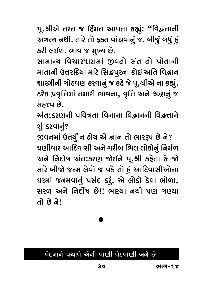પૂ.શ્રીએ તરત જ દિંમત આપતા કહ્યું: "વિ*દ્ભ*ત્તાની અગત્ય નથી. તારે તો ફકત વાંચવાનું જ. બીજું બધું હું<br>કરી લઈશ. ભાવ જ મુખ્ય છે.

xO∑— Ë\$B. IÛ\_ Q fi⁄ˆ} ©Â@. YÛfiÛ±} w\_{Û∑AÛ∑ÛfiÛ√ u\_EÛ@ Y√E EÛ@ fÛ@EÛ…— માતાની ઉત્તરક્રિયા માટે સિદ્ધપુરના કોઈ અતિ વિદ્વાન<br>શાસ્ત્રીની ગોઠવણ કરવાનું જ કહે જે પૂ.શ્રીએ ના કહ્યું. દરેક પ્રવૃત્તિમાં તમારી ભાવના, વૃત્તિ અને શ્રદ્ધાનું જ  $\overline{\text{a}}$ 

અંત:કરણની પવિત્રતા વિનાના વિદ્ભાનની વિદ્ભુતાને શું કરવાનું?

જીવનમાં ઉતર્યું ન હોય એ જ્ઞાન તો ભારરૂપ છે ને? ઘણીવાર આદિવાસી અને ગરીબ ભિલ લોકોનું નિર્મળ અને નિર્દોષ અંત:કરણ જોઇને પૂ.શ્રી કહેતા કે જો મારે બીજો જન્મ લેવો જ પડે તો હું આદિવાસીઓના घरभां જનમવાનું પસંદ કરૂં. એ લોકો કેવા ભોળા, સરળ અને નિર્દોષ છે!! ભણ્યા નથી પણ ગણ્યા  $\overrightarrow{AB}$  છે ∂ો

## \_@pO…Û…@ f{Û\_@ #@…— \_Ûo— \_@pO\_Ûo— µ…@ ©Â@.

.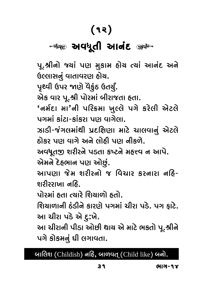### $\frac{1}{2}$ અવધૂતી આ<mark>નં</mark>દ

પૂ.શ્રીનો જ્યાં પણ મુકામ હોચ ત્યાં આનંદ અને<br>ઉલ્લાસનું વાતાવરણ હોચ. પૃથ્વી ઉપર જાણે વેફુંઠ ઉતર્યું. એક વાર પૂ.શ્રી પોરમાં બીરાજતા હતા. #@xO \_Û∑ f\.C— fÛ@∑fiÛ√ µ—∑ÛQÂEÛ ˜EÛ. **'**…fi™pOÛ fiÛ**'**…— fw∑∏OfiÛ «⁄ºË@ f"@ xO∑@Ë— #@ŸOË@ ઝાડી-જંગલમાંથી પ્રદક્ષિણા માટે ચાલવાનું એટલે હોકર પણ વાગે અને લોઠી પણ નીકળે. sOÛ@xO∑ fo \_Û"@ #…@ ËÛ@˜— fo …—xO¥@. #\_A\Eu B∑—∑…@ f¤OEÛ xO‰O…@ fi˜b\_ … #Ûf@. એમને દેહભાન પણ ઓછું.<br>આપણા જેમ શરીરનો જ વિચાર કરનારા ન્નઠિ-શારીરુંગામા વહિ` પોરમાં હતા ત્યારે શિચાળો હતો. શિચાળાની ઠંડીને કારણે પગમાં ચીરા પડે. પગ ફાટે. આ ચીરા પડે એ દુ:ખે. આ ચીરાની પીડા ઓછી થાચ એ માટે ભકતો પૂ.શ્રીને પગે કોકમનું ધી લગાવતા.  $\frac{6}{\omega}$ 

# <u>બાલિશ (Childish) નંદિ, બાળવત્ (Child like) બનો.</u><br>3٩- બાગ-૧૪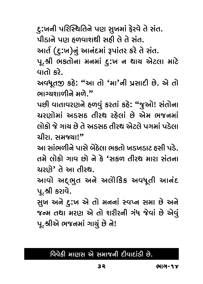દુ:ખની પરિસ્થિતિને પણ સુખમાં ફેરવે તે સંત.<br>પીડાને પણ ઠળવાશથી સઠી તે તે સંત

આર્ત (દુ:ખ)નું આનંદમાં રૂપાંતર કરે તે સંત.

પૂ.શ્રી ભકતોના મનમાં દુ:ખ ન થાય એટલા માટે  $\hat{\mathbf{c}}$ a l $\hat{\mathbf{c}}$ lo

આવધૂતજી કહે: ''આ તો 'મા'ની પ્રસાદી છે. એ તો<br>ભાગ્ગશાળીને મળે ''  $\mathbf{u}$  Supposer  $\mathbf{v}$ 

પછી વાતાવરણને હળવું કરતાં કહે: ''જુઓ! સંતોના<br>ચરણોમાં અડસઠ તીરથ રહેલાં છે એમ ભજનમાં <u>તોકો જે ગાચ છે તે અડસઠ તીરથ એટલે પગમાં પડેલા</u> .<br>આ સાંભળીને પાસે બેઠેલા ભક્તો મુકામદાર ફસી પ*ે*.<br>આ સાંભળીને પાસે બેઠેલા ભક્તો મુકામદાર ફસી પડે

#Û YÛ√I¥—…@ fÛY@ µ@s@OËÛ I®EÛ@ «¤O«¤OÛŸO ˜Y— f¤@O. Efi@ ËÛ@xOÛ@ "Û\_ ©ÂÛ@ …@ x@O **'**YxO¥ E—∑Z fiÛ∑Û Y√E…Û ચરાગે, પુ આ પ<del>ા</del>રજ્ઞ

આવો અદ્ભુત અને અલૌકિક અવધૂતી આનંદ<br>પૂ.શ્રી કરાવે.

<u>સૂખ અને દુ:ખ એ તો મનનાં સ્વપ્ન સમા છે અને</u> ્ય સ્થાપિત કરવા છે.<br>જન્મ તથા મરણ એ તો શરીરની ગંધ જેવાં છે એવું<br>પ શ્રીએ ભજનમાં ગણું છે તે! પૂ.શ્રીએ ભજનમાં ગાચું છે ને!

## www.android.com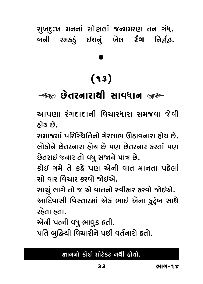### સુખદુ:ખ મનનાં સોણલાં જન્મમરણ તન ગંધ,<br>બની રમકડું ઇશનું ખેલ **રંગ** નિ*ર્દ્ઘ*.  $\frac{1}{3}$   $\frac{1}{3}$   $\frac{1}{3}$   $\frac{1}{3}$   $\frac{1}{3}$   $\frac{1}{2}$   $\frac{1}{3}$  w.

### $(93)$  $\ddot{\phantom{1}}$

# છેતરનારા<mark>થી</mark> સાવધાન

આપણા રંગદાદાની વિચારધારા સમજવા જેવી<br>ઠોચકે

સમાજમાં પરિસ્થિતિનો ગેરલાભ ઊઠાવનારા ઠોચ છે. <u>લોકોને છેતરનારા ઠોચ છે પણ છેતરનાર કરતાં પણ</u> ્<br>છેતરાઈ જનાર તો વધુ સજાને પાત્ર છે.<br>છેલ્હાઈ જનાર તો વધુ સજાને પાત્ર છે.

સો વાર વિચાર કરવો જોઈએ.

સાચું લાગે તો જ એ વાતનો સ્વીકાર કરવો જોઈએ. આદિવાસી વિસ્તારમાં એક ભાઈ એના કુટુંબ સાથે રહેતા હવા.

\_\_\_<br>એની પત્ની વધુ ભાવુક હતી.<br>પતિ બહિશી વિગાગ્નેને પછી

fwE µ⁄wWZ— w\_{Û∑—…@ f©Â— \_E™…Û∑Û@ ˜EÛ@.

Gwelet a bû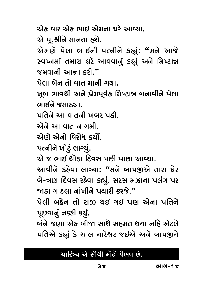એક વાર એક ભાઈ એમના ઘરે આવ્યા.

એ પૃ.શ્રીને માનતા હશે.

— દૂ<sub>ધમાનનનન</sup>ા<br>એમણે પેલા ભાઈની પત્નીને કહ્યું: "મને આજે<br>આત્નમાં તમારા ઘરે આવવાનું કહ્યું અને મિષ્ટાષ</sub> જમવાની આજ્ઞા કરી.''<br>જમવાની આજ્ઞા કરી.''<br>પેલા બેન તો વાત માની ગયા

ખૂબ ભાવથી અને પ્રેમપૂર્વક મિષ્ટાન્ન બનાવીને પેલા  $\alpha$  is  $\alpha$  whisperve

પતિને આ વાતની ખબર પડી.

એને આ વાત ન ગમી.

એણે એનો વિરોધ કર્યો.<br>પત્નીને ખોર્ટ લાગ્યું

પત્નીને ખોટું લાગ્યું.<br>એ જ ભાઈ થોડા દિવસ પછી પાછા આવ્યા.

#@ Q IÛ\$ ZÛ@¤OÛ wpO\_Y f©Â— fÛ©ÂÛ #Û[}Û. #Û\_—…@ xO˜@\_Û ËÛa}Û: **"**fi…@ µÛfu#@ EÛ∑Û n@∑ µ@-Lo wpO\_Y ∑˜@\_Û xO·⁄√. Y∑Y fi•Û…Û fË√" f∑ ¤OÛ "ÛpOËÛ …Û√«—…@ fZÛ∑— xO∑QÂ@.**"**

પૂછવાનું નક્કી કર્યું.

લંને જણા એક બીજા સાથે સહ્મત થયા નહિ એટલે પતિએ કહ્યું કે ચાલ નારેશ્વર જઈએ અને બાપજીને  $\mathcal{F}_{\mathcal{O}}^{(1)}$ 

### ₩¥<del>€Z</del>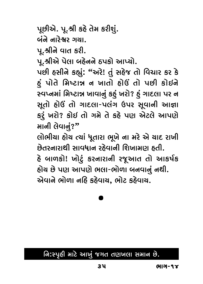પૂછીએ. પૂ.શ્રી કહે તેમ કરીશું.<br>બંને નારેશ્વર ગચા

 $y.$ શ્રીને વાત કરી.

પૂ.શ્રીએ પેલા બહેનને ઠપકો આપ્યો.

<sub>\_</sub><br>પછી હસીને કહ્યું: ''અરે! તું સહેજ તો વિચાર કર કે<br>કં પો*તે* મિષ્ટાસ ન ખાતો કોઉં તો પછી કોઈને હું પોતે મિષ્ટાન્ન ન ખાતો હોઉં તો પછી કોઈને<br>સ્વપ્નમાં મિષ્ટાન્ન ખાવાનું કહું ખરો? હું ગાદલા પર ન સૂતો હોઉં તો ગાદલા-પલંગ ઉપર સૂવાની આજ્ઞા કરૂં ખરો? કોઈ તો ગમે તે કહે પણ એટલે આપણે <sub>ુ</sup><br>માની લેવાનું?''<br>બોબીગા હોય ત્યાં ધતારા ભામે ના મરે એ ચાદ ગામી</sub>

લોભીચા હોચ ત્યાં ધૂતારા ભૂખે ના મરે એ ચાદ રાખી

છેતરનારાથી સાવધાન રહેવાની શિખામણ હતી.<br>હે બાળકો! ખોટું કરનારાની રજૂઆત તો આકર્ષક હોચ છે પણ આપણે ભલા-ભોળા બનવાનું નથી. એવાને ભોળા નહિ કહેવાચ, ભોટ કહેવાચ.  $\frac{1}{\sqrt{2}}$ 

### w. Černe moi version en û eo ê

.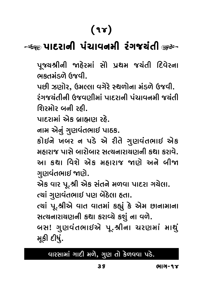## (૧૪)<br>ત્ર્‱પાદરાની પંચાવનમી રંગજચંતી <del>જ</del>્રસ્ત fÛpO∑Û…— f√{Û\_…fi— ∑√"QÂ}√E— fÛpO∑Û…— f√{Û\_…fi— f√{Û\_…fi— ∑√"QÂ}√E—

પૂજ્યશ્રીની જાહેરમાં સૌ પ્રથમ જચંતી દિવેરના<br>ભક્તમંડળેઉજવી

પછી ઝણોર, ઉમલ્લા વગેરે સ્થળોના મંડળે ઉજવી. ંગજચંતીની ઉજવાગીમાં પાદગની પંચાવનમી જચંતી §ાેઓેે ભ**યી** રહી

પાદરામાં એક બાહ્યણ રહે.

નામ એનું ગુણવંતભાઈ પાઠક.

કોઈને ખબર ન પડે એ રીતે ગુણવંતભાઈ એક <u>સઠારાજ પાસે બારોબાર સત્યનારાયણની કથા કરાવે.</u> આ કથા વિશે એક મઠારાજ જાણે અને બીજા ગુણવંતભાઈ જાણે.

એક વાર પૂ.શ્રી એક સંતને મળવા પાદરા ગચેલા.

ત્યાં ગુણવંતભાઈ પણ બેઠેલા હતા.

ત્યાં પૂ.શ્રીએ વાત વાતમાં કહ્યું કે એમ છાનામાના સત્યનારાયણની કથા કરાવ્યે કશું ના વળે.

બસ! ગુણવંતભાઈએ પૂ.શ્રીના ચરણમાં માથું  $y$ s man  $\zeta$  and  $\zeta$  and  $\zeta$ 

# ્વારસામાં ગાદી મળે, ગુણ તો કેળવવા પડે.<br>- રક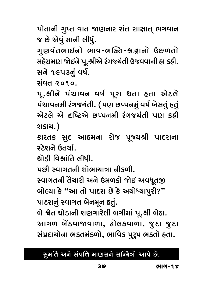ક છે એવું માની લીધું.<br>જ છે એવું માની લીધું.<br>ગાગવંતભાઈનો, ભાવ-ભક્તિ-શ્વઢાનો, ઉછળતો

ગુણવંતભાઈનો ભાવ-ભક્તિ-શ્રદ્ધાનો ઉછળતો<br>મહેરામણ જોઈને પૂ.શ્રીએ રંગજચંતી ઉજવવાની હા કહી. <u>સને ૧૯૫૩નું વર્ષ.</u>

 $\dot{a}$ યત ૨૦૧૦.

પૂ.શ્રીને પંચાવન વર્ષ પૂરા થતા હતા એટલે પંચાવનમી રંગજચંતી. (પણ છપ્પનમું વર્ષ બેસતું હતું એટલે એ દૃષ્ટિએ છપ્પનમી રંગજચંતી પણ કહી  $\tilde{\mathcal{C}}$  . The form of  $\tilde{\mathcal{C}}$  is the following  $\tilde{\mathcal{C}}$  and  $\tilde{\mathcal{C}}$ 

કારતક સુદ આઠમના રોજ પૂજ્યશ્રી પાદરાના  $\rho$ ોદાગ $\delta$ 

ÕŸ@OB…@ &E}Û™. ZÛ@¤O— w\_CÛ√wE Ë—A—.

.<br>સ્વાગતની તૈયારી અને ઉમળકો જોઈ અવધૂતજી<br>બોલ્ગા કે ''આ તો પાદગ છે કે અગોધ્યાપત્રી?'' બોલ્ચા કે ''આ તો પાદરા છે કે અચોધ્ચાપુરી?''<br>પાદરાનું સ્વાગત બેનમૂન હતું.

બે શ્વેત ઘોડાની શણગારેલી બગીમાં પૂ.શ્રી બેઠા. આગળ બેંડવાજાવાળા, ઢોલકવાળા, જુદા જુદા સંપ્રદાચોના ભક્તમંડળો, ભાવિક પુરૂષ ભકતો હતા.  $\frac{33}{\sqrt{2}}$ 

# મુર્માતે અને સંપત્તિ માણસને સન્મિત્રો આપે છે.<br>સાગ-૧૪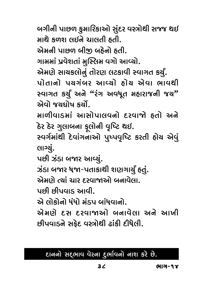બગીની પાછળ કુમારિકાઓ સુંદર વસ્ત્રોથી સજ્જ થઈ<br>માશે કળશ લઈને ચાલતી ઠતી

એમની પાછળ બીજી બહેનો હતી.

ગામમાં પ્રવેશતાં મુસ્લિમ વગો આવ્યો.

એમણે સાચકલોનું તોરણ લટકાવી સ્વાગત કર્યું.

પોતાનો પચગંબર આવ્યો હોચ એવા ભાવથી સ્વાગત કર્યું અને "રંગ અવધૂત મહારાજની જચ"<br>એવો જગઘોષ કર્યો

<u>માળીવાડમાં આસોપાલવનો દરવાજો હતો અને</u> ેઠર ઠેર ગુલાબના ફલોની વૃષ્ટિ થઈ.

\_<br>સ્વર્ગમાંથી દેવાંગનાઓ પુષ્પવષ્ટિ Õ\_"™fiÛ√Z— p@O\_Û√"…Û#Û@ f⁄≈f\_Èw‰O xO∑E— ˜Û@} #@\_⁄√ લાગ્યું.<br>પછી ઝંડા બજાર આવ્યું.

f©Â— •√¤OÛ µ∑ #Û[}⁄√. •√¤OÛ µ∑ A-fEÛxOÛZ— Bo"Û}⁄q ˜E⁄√.

પછી છીપવાડ આવી.

.<br>એ લોકોનો ધંધો મંડપ બાંધવાનો.<br>એમાગે હસ હરવાજાઓ બના

#@fio@ pOY pO∑\_Û#Û@ µ…Û\_@ËÛ #…@ #Û«— ©Â—f\_Û¤O…@ Yl@pO \_mÛ@Z— JOÛ√xOfl pO—A@Ë—.

# pOÛ……Û@ Yp≤OIÛ\_ \_@∑…Û p⁄OIÛ™\_…Û@ …ÛB xO∑@ ©Â@.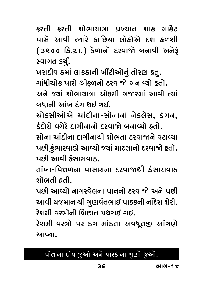l∑ર્દીન ફરતી શોભાચાત્રા પ્રખ્યાત શાક માર્કેટ<br>ફરતી ફરતી શોભાચાત્રા પ્રખ્યાત શાક માર્કેટ fÛY@ #Û\_— '}Û∑@ xOÛw©Â}Û ËÛ@xOÛ@#@ pOB xO¥B— (3200 wxO."VÛ.) x@O¥Û…Û@ pO∑\_Û@ µ…Û\_— #…@T√

સ્વાગત કર્યું.<br>ખરાદીવાડમાં લાકડાની ખીંટીઓનું તોરણ હતું.

.<br>ગાંધીચોક પાસે શ્રીફળનો દરવાજો બનાવ્યો હતો.<br>અને જ્યાં શોભાચાત્રા રોક્સી બજારમાં આવી

્લિયાની આંખ કરી છે.<br>બધાની આંખ દંગ થઈ ગઈ.<br>બધાની આંખ માટે આ કરીના

ચોકસીઓએ ચાંદીના-સોનાનાં નેકલેસ, કંગન,<br>કંદોરો વગેરે દાગીનાનો દરવાજો બનાવ્યો હતો.

સોના ચાંદીના દાગીનાથી શોભતા દરવાજાને વટાવ્યા પછી કુંભારવાડો આવ્યો જ્યાં માટલાનો દરવાજો હતો. પછી આવી કંસારાવાડ.

તાંબા-પિત્તળના વાસણના દરવાજાથી કંસારાવાડ શોભતી **હતી**.

પછી આવ્યો નાગરવેલના પાનનો દરવાજો અને પછી આવી ચજમાન શ્રી ગુણવંતભાઈ પાઠકની નાંદેરા શેરી. ેશમી વસ્ત્રોની બિછાત પથરાઇ ગઈ.

∑@Bfi— \_mÛ@…— wµ©ÂÛE fZ∑Û\$ "\$. ∑@Bfi— \_mÛ@ f∑ ¤O" fiÛ√¤OEÛ #\_A\Eu #Û√"o@

# hોતાના દોષ જુઓ અને પારકાના ગુણો જુઓ.<br>3G - ભાગ-૧૪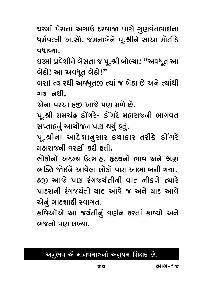.<br>ધર્મપત્ની અ.સૌ. જમનાબેને પૂ.શ્રીને સાચા મોતીડે<br>વધાવ્યા  $Q$  $Q$  $Q$  $Q$ 

ઘરમાં પ્રવેશીને બેસતા જ પૂ.શ્રી બોલ્ચા**: ''**અવધૂત આ <u>બે</u>ઠો! આ અવધૂત બેઠો!"

બસ! ત્યારથી અવધૂતજી ત્યાં જ બેઠા છે અને ત્યાંથી<br>ગચા નથી

એના પરચા હજી આજે પણ મળે છે.

પૂ.શ્રી રામચંદ્ર ડોંગરે- ડોંગરે મહારાજની ભાગવત <u>સપ્તાહનું આચોજન પણ થયું હતું.</u>

પૂ.શ્રીના આદેશાનુસાર કથાકાર તરીકે ડોંગરે  $f$  ha lea  $\beta$  be $\alpha$ leako

લોકોનો અદમ્ય ઉત્સાહ, હૃદચનો ભાવ અને શ્રદ્ધા ભક્તિ જોઈને આવેલા લોકો પણ આભા બની ગયા. હજી આજે પણ રંગજચંતીની વાત નીકળે ત્યારે પાદરાની રંગજચંતી ચાદ આવે જ અને ચાદ આવે એનું બાદશાહી સ્વાગત.

કવિઓએ આ જચંતીનું વર્ણન કરતાં કાવ્યો અને ભજનો પાગ લખ્યા. IQÂ…Û@ fo ˈ}Û.

### $\frac{1}{2}$  . The final mass  $\frac{1}{2}$  was equal to  $\frac{1}{2}$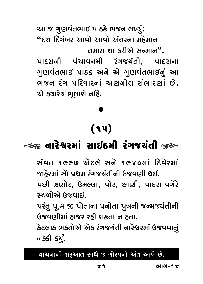્<br>''દત્ત દિગંબર આવો આવો અંતરના મહેમાન'<br>નમણ કાર્યકર્ય હાદ કરીએ સન્માન'

 EfiÛ∑Û BÛ xO∑—#@ Y±fiÛ…**"**. ગુણવંતભાઈ પાઠક અને એ ગુણવંતભાઈનું આ ⁄ભજન રંગ પરિવારનાં આગમોલ સંભારણાં છે. એ ક્યારેય ભૂલાશે નહિ.  $\sum_{i=1}^{n} a_i$ 

### $(94)$

### <del>- પ્ર</del>િલી પ્રકારની રિતેમ instants <del>જ</del>

.<br>સંવત ૧૯૯७ એટલે સને ૧૯૪૦માં દિવેરમાં YaB Ilcıp $\bm{\gamma}$ Bib 1997 Yardi Mariti Mariti

પછી ઝણોર, ઉમલ્લા, પોર, છાણી, પાદરા વગેરે  $\epsilon$  ) apply and to pouge

પરંતુ પૂ.માજી પોતાના પનોતા પુત્રની જન્મજચંતીની f&dibious f& f&el and finitious for the equal of  $\delta$ 

 $\mathcal{S}_{\mathcal{S}}$ ećir (predsjednje od mesto slovenskih člana). x@OŸOËÛxO I®EÛ@#@ #@xO ∑√"QÂ}√E— …Û∑@U∑fiÛ√ &QÂ\_\_Û…⁄√ નક્કી કર્યું.<br>-<br>ચાચનાની શરૂઆત સાથે જ ગેોરવનો અંત આવે છે.

### }Û{…Û…— BT#ÛE YÛZ@ QÂ "Û≠∑\_…Û@ #√E #Û\_@ ©Â@.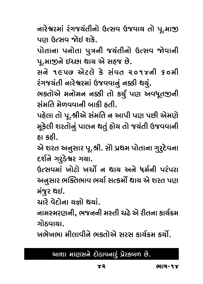નારેશ્વરમાં રંગજચંતીનો ઉત્સવ ઉજવાચ તો પૂ.માજી<br>પણ ઉત્સવ જોઈ શકે

પોતાના પનોતા પુત્રની જચંતીનો ઉત્સવ જોવાની પૂ.માજીને ઈચ્છા થાચ એ સહજ છે.

મને ૧૯૫૭ એટલે કે સંવત ૨૦૧૪ની ૬૦મી રંગજચંતી નારેશ્વરમાં ઉજવવાનું નક્કી થયું.

ை<br>ભકતોએ મનોમન નક્કી તો કર્યું પણ અવધૂતજીની<br>સંમતિ મેળવવાની બાકી કતી

પહેલા તો પૂ.શ્રીએ સંમતિ ન આપી પણ પછી એમણે  $\epsilon$  fo for the form in formulation in the formulation  $\epsilon$  $\frac{\kappa}{\kappa}$  ,  $\frac{\kappa}{\kappa}$  ,  $\frac{\kappa}{\kappa}$  ,  $\frac{\kappa}{\kappa}$ 

એ શરત અનુસાર પૂ.શ્રી. સૌ પ્રથમ પોતાના ગુરૂદેવના  $\epsilon$ ર્શને ગરૂડેશ્વર ગયા.

pOB™…@ "∑⁄¤@OU∑ "}Û. &'Y\_fiÛ√ «Û@ŸOÛ@ «{Û@™ … ZÛ} #…@ Afi™…— f∑√f∑Û અનુસાર ભક્તિભાવ ભર્ચા સત્કર્મો થાચ એ શરત પણ<br>મંજૂર થઈ.

ચારે વેદોના ચૂકો થયાં.

નામસ્મરણની, ભજનની મસ્તી ચઢે એ રીતના કાર્ચક્રમ ઓઠવાચા.

ખભેખભા મીલાવીને ભકતોએ સરસ કાર્યક્રમ કર્યો. «I@«I© final» and in the EU final method is the EU final method in the EU final method in the EU final method in the EU final method in the EU final method in the EU final method in the EU final method in the EU final met

આશા માણસને દોડાવનારું પ્રેરકબળ છે.<br>જશ્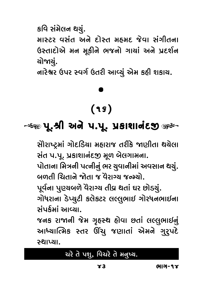કવિ સંમેલન થયું.<br>માસ્ટર વસંત અને દોસ્ત મઠમદ જેવા સંગીતના ઉસ્તાદોએ મન મૂકીને ભજનો ગાચાં અને પ્રદર્શન  $\sum_{i=1}^{n}a_{i}^{(i)}$  final film… final fixement

ચોજાયું.<br>નારેશ્વર ઉપર સ્વર્ગ ઉતરી આવ્યું એમ કહી શકાચ.  $\mathcal{L}$ 

### $(95)$  $\sqrt{2}$

# $\alpha$

સોરાષ્ટ્રમાં ગોદડિચા મહારાજ તરીકે જાણીતા થચેલા<br>સંત પ.પૂ. પ્રકાશાનંદજી મૂળ બેલગામના.

પોતાના મિત્રની પત્નીનું ભર ચુવાનીમાં અવસાન થયું. ભળતી ચિતાને જોતા જ યેરાગ્ચ જન્મ્યો.

પૂર્વના પુણ્યબળે વેરાગ્ય તીવ્ર થતાં ઘર છોડ્યું.

્<br>ગોધરાના ડેપ્ચુટી કલેકટર લલ્લુભાઈ ગોરધનભાઈના<br>અંપર્કમાં આવ્યા

જનક રાજાની જેમ ગૃહસ્થ હોવા છતાં લલ્લુભાઈનું આધ્યાત્મિક સ્તર ઊંચુ જણાતાં એમને ગુરુપદે<br>સ્થાપચા ÖZÜCÜ

# $\overline{{\bf 22}}$ તે પશુ, વિચરે તે મનુષ્ય.<br>જરૂ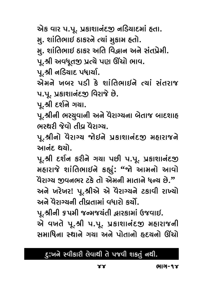એક વાર પ.પૂ. પ્રકાશાનંદજી નડિચાદમાં હતા.<br>મૂ. શાંતિભાઈ ઠાકરને ત્યાં મુકામ હતો. મુ. શાંતિભાઈ ઠાકર અતિ વિદ્વાન અને સંતપ્રેમી. fi⁄. BÛ√wEIÛ\$ sOÛxO∑ #wE w\_›Û… #…@ Y√EfV@fi—. f\.C— #\_A\Eu fV'}@ fo ≥>{Û@ IÛ\_.

પૂ.શ્રી નડિચાદ પધાર્યા.<br>એમને ખબર પડી કે શાંતિભાઈને ત્યાં સંતરાજ પ.પૂ. પ્રકાશાનંદજી વિરાજે છે.

પ.શ્રી દર્શને ગયા.

પૂ.શ્રીની ભરચુવાની અને વેરાગ્ચના બેતાજ બાદશાહ  $\,$ (جەرد $\,$  10  $\,$  100  $\,$  100  $\,$ ) א $\,$  100  $\,$ 

પૂ.શ્રીનો વેરાગ્ય જોઇને પ્રકાશાનંદજી મહારાજને  $\mathcal{F}$  (GR  $\mathcal{F}$  of Duk

પૂ.શ્રી દર્શન કરીને ગયા પછી પ.પૂ. પ્રકાશાનંદજી ્ર<br>મહારાજે શાંતિભાઈને કહ્યું: "જો આમનો આવો<br><sup>તે</sup>ગગ્ગ જવનભર ટકે તો એમની માતાને ધન્ય છે." પેરાગ્ચ જીવનભર ટકે તો એમની માતાને ધન્ચ છે.''<br>અને ખરેખર! પૂ.શ્રીએ એ **વેરાગ્ચને ટકાવી રાખ્યો** અને વેરાગ્યની તીવ્રતામાં વધારો કર્યો.<br>ખ શ્રીની ૬૫મી જન્મજરાંતી ઢારકામાં ઉજવાડી

પૂ.શ્રીની કપમી જન્મજચંતી દ્વારકામાં ઉજવાઇ.<br>એ વખતે પૂ.શ્રી પ.પૂ. પ્રકાશાનંદજી મહારાજની .<br>સમાધિના સ્થાને ગયા અને પોતાનો હૃદયનો ઊંચો<br>

# $\xi:$ ખને સ્વીકારી લેવાથી તે પજવી શકતું નથી.<br>હાઇ તમારી તે હિન્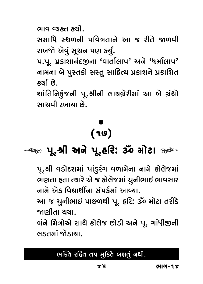ભાવ વ્યકત કર્યો.

સમાધિ સ્થળની પવિત્રતાને આ જ રીતે જાળવી<br>ગામજો એવં સરાન પણ કર્યં

—<br>પ.પૂ. પ્રકાશાનંદજીના 'વાર્તાલાપ' અને 'ધર્માલાપ'<br>નામના બે પસ્તકો સસ્ત સાહિત્ય પ્રકાશને પ્રકાશિત  $\mathcal{L}$  is the conduct  $\mathcal{L}$  for  $\mathcal{L}$ 

શાંતિનિકુંજની પૂ.શ્રીની લાચબ્રેરીમાં આ બે ગ્રંથો <u>સાચવી રખાચા છે.</u>

### $(90)$  $\frac{1}{\sqrt{2}}$

# $\alpha$   $\sim$   $\alpha$   $\sim$   $\alpha$

પૂ.શ્રી વડોદરામાં પાંડુરંગ વળામેના નામે કોલેજમાં<br>ભણતા હતા ત્યારે એ જ કોલેજમાં ચુનીભાઈ ભાવસાર ગામે એક વિદ્યાર્થીના સંપર્કમાં આવ્યા.

આ જ ચુનીભાઈ પાછળથી પૂ. હરિ: ૐ મોટા તરીકે <u>જાણીતા શરાા.</u>

o—EÛ Z}Û. µ√…@ wfiLÛ@#@ YÛZ@ xOÛ@Ë@QÂ ©ÂÛ@¤O— #…@ f\. "Û√A—u…— ˤOEfiÛ√ @¤OÛ}Û.

## ભક્તિ રહિત તપ મુક્તિ બક્ષતું નથી.<br>સ્ત્રા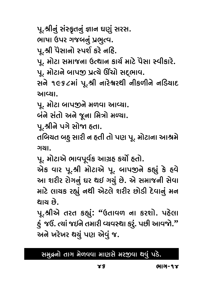પૂ.શ્રીનું સંસ્કૃતનું જ્ઞાન ઘણું સરસ.<br>ભાષા ઉપર ગજબનું પ્રભૃત્વ. પૂ.શ્રી પેસાનો સ્પર્શ કરે નહિ. પૂ. મોટા સમાજના ઉત્થાન કાર્ચ માટે પૈસા સ્વીકારે. પૂ. મોટાને બાપજી પ્રત્યે ઊંચો સદ્ભાવ.

સને ૧૯૬૮માં પૂ.શ્રી નારેશ્વરથી નીકળીને નડિચાદ y 1968<br>De la componente la componente la componente la componente la componente la componente la componente la compo

પૂ. મોટા બાપજીને મળવા આવ્યા.

બંને સંતો અને જૂના મિત્રો મળ્યા.

પૂ.શ્રીને પગે સોજા હતા.

પણુઝાપ ભષ્ટ ઝાગુ <sup>બ</sup> ષ્ય્<br>જ  $\mathcal{E} = \mathcal{E}$  in finite formulation  $\mathcal{E}$ 

પૂ. મોટાએ ભાવપૂર્વક આગ્રહ કર્યો હતો.

એક વાર પૂ.શ્રી મોટાએ પૂ. બાપજીને કહ્યું કે હવે આ શરીર રોગનું ઘર થઈ ગચું છે. એ સમાજની સેવા  $\frac{1}{2}$ ખાર સારા છે. આ જિલ્લા છે જે આ જિલ્લાનું મન  $\frac{1}{\sqrt{2}}$  , which is not the positive basic  $\frac{1}{\sqrt{2}}$ 

્ર<br>પૂ.શ્રીએ તરત કહ્યું: "ઉતાવળ ના કરશો. પહેલા<br>કં જઉં ત્યાં જલ્હેતનમારી બ્યવસ્થા કરં પછી આવજો <sup>?</sup>' કું જઉં. ત્યાં જઈને તમારી વ્યવસ્થા કરું. પછી આવજો.''<br>અને ખરેખર થયું પણ એવું જ.  $\mathcal{S}$   $\mathcal{S}$   $\mathcal{S}$ 

Yeway and the Baga finang finangkal diayaga fi ang tidak.<br>Tagaaloo ahalo ahalo ay faada faada faan faada faada faada faada faada faada faada faada faada faada faada faa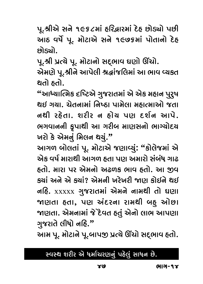પૂ.શ્રીએ સને ૧૯૬૮માં દરિદ્વારમાં દેહ છોડ્યો પછી<br>આઠ વર્ષે પૂ. મોટાએ સને ૧૯૭૬માં પોતાનો દેહ \*ີ້. ຄົນ fool man fool man fool man fool f

પૂ.શ્રી પ્રત્યે પૂ. મોટાનો સદ્ભાવ ઘણો ઊંચો.

એમણે પૂ.શ્રીને આપેલી શ્રદ્ધાંજલિમાં આ ભાવ વ્યક્ત થતો હતો.

,<br>'સ્ઝાધ્યાત્મિક દષ્ટિએ ગુજરાતમાં એ એક મહાન પુરુષ<br>''<br>'' સાધન એક સાહ નથી રહેતા. શરીર ન હોચ પણ દર્શન આપે. ભગવાનની કૃપાથી આ ગરીબ માણસનો ભાગ્યોદચ ાઓ કે એમનું મિલન થયું.''<br>આગળ બોલતાં પ**્ર** મોટાએ જણાવ્યું: ''ક્રોલેજમાં એ

આગળ બોલતાં પૂ. મોટાએ જણાવ્યું: "કોલેજમાં એ એક વર્ષ મારાથી આગળ હતા પણ અમારો સંબંધ ગાઢ<br>હતો. મારા પર એમનો અઢળક ભાવ હતો. આ જીવ ક્યાં અને એ કચાં? એમની ખરેખરી જાણ કોઈને થઈ ®}Û√ #…@ #@ ®}Û√? #@fi…— «∑@«∑— o xOÛ@\$…@ Z\$ ાણિ. xxxxx ગુજરાતમાં એમને નામથી તો ઘણા<br>નહિ. xxxxx ગુજરાતમાં એમને નામથી તો ઘણા જાણતા હતા, પણ અંદરના રામથી બહુ ઓછા<br>જાણતા. એમનામાં જે`દેવત હતું એનો લાભ આપણા ્ટિયાન<br>ગુજરાતે લીધો નહિ.''<br>આમ પ*ા*મોટાને પ બાપજ પત્ચે ઊંચો સદભાવ ક્રતો

 $\sim$   $\sim$   $\sim$   $\sim$   $\sim$   $\sim$   $\sim$ 

# َ સ્વસ્થ શરીર એ ધર્માચરણનું પહેલું સાધન છે.<br>૪૭ - આગ-૧૪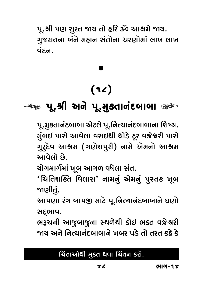પૂ.શ્રી પણ સુરત જાય તો હરિ ॐ આશ્રમે જાય.<br>ગુજરાતના બંને મહાન સંતોના ચરણોમાં લાખ લાખ  $\frac{1}{2}$ °  $\frac{1}{2}$ 

### $(9c)$  $\sqrt{18}$

# f\.C— #…@ f\.fi⁄®EÛ…√pOµÛµÛ f\.C— #…@ f\.fi⁄®EÛ…√pOµÛµÛ f\.C— #…@ f\.fi⁄®EÛ…√pOµÛµÛ

પૂ.મુકતાનંદબાબા એટલે પૂ.નિત્યાનંદબાબાના શિષ્ય.<br>મુંબઈ પાસે આવેલા વસઈથી થોડે દૂર વજ્રેશ્વરી પાસે ગુરૂદેવ આશ્રમ (ગણેશપુરી) નામે એમનો આશ્રમ આવેલો છે.

ચોગમાર્ગમાં ખૂબ આગળ વધેલા સંત.<br>'ઊાતિશક્તિ, વિલાસ', નામનં, એમ

'ચિતિશક્તિ વિલાસ' નામનું એમનું પુસ્તક ખૂબ<br>જાણીતું.

∍ن<br>∪داراµال  $\frac{1}{2}$ 

સદ્ભાવ.<br>ભરૂચની આજુબાજુના સ્થળેથી કોઈ ભક્ત વજ્રેશ્વરી <u>જાય અને નિત્યાનુંદભાભાવે ખભર પડે તો તરત કઠે કે </u> } #…@ w…'}Û…√pOµÛµÛ…@ «µ∑ f¤@O EÛ@ E∑E xO˜@ x@O

<mark>ચિંતાઓથી મુકત થવા ચિંતન કરો.</mark><br>૪૮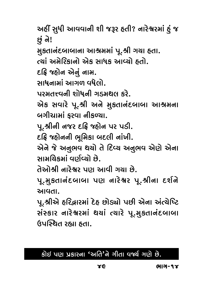અહીં સુધી આવવાની શી જરૂર હતી? નારેશ્વરમાં હું જ<br>છં ને! મુકતાનંદબાબાના આશ્રમમાં પૂ.શ્રી ગયા હતા. fi⁄®EÛ…√pOµÛµÛ…Û #ÛCfifiÛ√ f\.C— "}Û ˜EÛ. '}Û√ #fi@w∑xOÛ…Û@ #@xO YÛAxO #Û[}Û@ ˜EÛ@. ાર જારામ ગયુ ગામા<br>સાધનામાં આગળ વધેલો.<br>પરમતત્ત્વની શોધની ગડર પરમતત્ત્વની શોધની ગડમથલ કરે.<br>એક સવારે પૂ.શ્રી અને મુકતાનંદબાબા આશ્રમના બગીચામાં કરવા નીકળ્યા. પૂ.શ્રીની નજર દફ્રિ જ્હોન પર પડી. દિ &ઇવવી બઝિકા ભદલી વાંગી<br>દિલ્હ કરવી માટે જો પ્રદેશન પદ પણ ગંબ કે ગંવળત કાગુ પુ હિલ્દો અવ<br>ગર્વ સ્ટાનના બેંબરા પરમા નામા આમચિક્સાં વાર્ગલ્ટો છે. તેઓશ્રી નારેશ્વર પણ આવી ગયા છે. પૂ.મુકતાનંદબાબા પણ નારેશ્વર પૂ.શ્રીના દર્શને f\.fi⁄®EÛ…√pOµÛµÛ fo …Û∑@U∑ f\.C—…Û pOB™…@ પૂ.શ્રીએ હરિદ્વારમાં દેહ છોડ્યો પછી એના અંત્યેષ્ટિ Hessin on Espai dai can buayan belas  $\mathcal{S}$ પશ્ચિત રહ્યા હતા. &f»ÕZE ∑·Û ˜EÛ.

# xOÛ@\$ fo fVxOÛ∑…Û **'**#wE**'**…@ "—EÛ \_ƒ}™ "o@ ©Â@.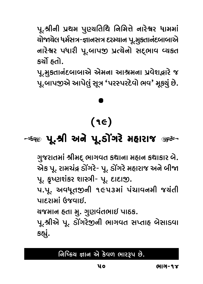પૂ.શ્રીની પ્રથમ પુણ્યતિથિ નિમિત્તે નારેશ્વર ધામમાં ચોજાચેલ ધર્મસત્ર-જ્ઞાનસત્ર દરમ્યાન પૂ.મુક્તાનંદબાબાએ નારેશ્વર પધારી પૂ.બાપજી પ્રત્યેનો સદ્ભાવ વ્યક્ત<br>કર્યો ઠતો.

પૂ.મુકતાનંદબાબાએ એમના આશ્રમના પ્રવેશદ્વારે જ f\.fi⁄®EÛ…√pOµÛµÛ#@ #@fi…Û #ÛCfi…Û fV\_@B›Û∑@ QÂ f\.µÛfu#@ #Ûf@Ë⁄√ Y\L **'**f∑Õf∑p@O\_Û@ I\_**'** fi\®}⁄√ ©Â@.

## $(9e)$

### $\frac{1}{2}$  $\delta$

ગુજરાતમાં શ્રીમદ્ ભાગવત કથાના મહાન કથાકાર બે.<br>એક પૂ. રામચંદ્ર ડોંગરે- પૂ. ડોંગરે મહારાજ અને બીજા  $\mu$ . ફૃષ્ણશંકર શાસ્ત્રી- પૂ. દાદાજી.

્ર - દૂ<br>પ.પૂ. અવધૂતજીની ૧૯૫૩માં પંચાવનમી જચંતી<br>પાદરામાં ઉજવાઈ

ચજમાન હતા મુ. ગુણવંતભાઈ પાઠક.

પૂ.શ્રીએ પૂ. ડોંગરેજીની ભાગવત સપ્તાહ બેસાડવા  $\kappa$  and  $\kappa$  and  $\kappa$  are in the following  $\kappa$  $\sim$ 

## www.wa∆oz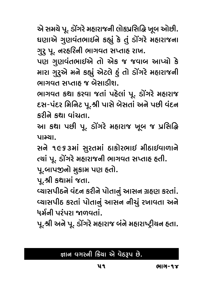એ સમયે પૂ. ડોંગરે મહારાજની લોકપ્રસિદ્ધિ ખૂબ ઓછી.<br>ઘણાએ ગુણવંતભાઈને કહ્યું કે તું ડોંગરે મહારાજના ગુરૂ પૂ. નરહરિની ભાગવત સપ્તાહ રાખ.

પણ ગુણવંતભાઈએ તો એક જ જવાબ આપ્યો કે મારા ગુરૂએ મને કહ્યું એટલે હું તો ડોંગરે મહારાજની ભાગવત સપ્તાહ જ બેસાડીશ.

ભાગવત કથા કરવા જતાં પહેલાં પૂ. ડોંગરે મહારાજ દસ-પંદર મિનિટ પૂ.શ્રી પાસે બેસતાં અને પછી વંદન કરીને કથા વાંચતા.

\_<br>આ કશા મછી મ #Û xOZÛ f©Â— f\. ¤OÛ@>"∑@ fi˜Û∑ÛQ «\µ Q fVwYwW

સને ૧૯૬૩માં સુરતમાં ઠાકોરભાઈ મીઠાઈવાળાને ત્યાં પૂ. ડોંગરે મહારાજની ભાગવત સપ્તાહ હતી.

પૂ.બાપજીનો મુકામ પણ હતો.

પૂ.શ્રી કથામાં જતા.

વ્યાસપીઠને વંદન કરીને પોતાનું આસન ગ્રહણ કરતાં. વ્યાસપીઠ કરતાં પોતાનું આસન નીચું રખાવતા અને ્ય માર્ગ માર્ગ કરી માર્ગ કરી માર્ગ માર્ગ કરી છે.<br>ધર્મની પરંપરા જાળવતાં.<br>પા શ્રી અને પા ડોંગરે મુકારાજ બંને મુકારાષ્ટ્રીયન કર્તા

પૂ.શ્રી અને પૂ. ડોંગરે મહારાજ બંને મહારાષ્ટ્રીયન હતા.

### GÛ… \_"∑…— w∏O}Û #@ \_@sOTf ©Â@.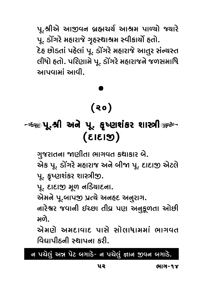પૂ.શ્રીએ આજીવન બ્રહ્મચર્ચ આશ્રમ પાળ્યો જ્યારે<br>પૂ. ડોંગરે મહારાજે ગૃહસ્થાશ્રમ સ્વીકાર્યો હતો. ેદેહ છોડતાં પહેલાં પૂ. ડોંગરે મહારાજે આતુર સંન્ચસ્ત p@O˜ ©ÂÛ@¤OEÛ√ f˜@ËÛ√ f\. ¤OÛ@>"∑@ fi˜Û∑ÛQÂ@ #ÛE⁄∑ Y√±}ÕE Ë—AÛ@ ˜EÛ@. fw∑oÛfi@ f\. ¤OÛ@>"∑@ fi˜Û∑ÛQÂ…@ QÂ¥YfiÛw<sup>A</sup>

## $\sqrt{2}$  $\int \mathcal{L} \mathbf{F} \cdot \mathbf{F} \cdot \mathbf{F}$ **(દાદાજી)**<br>ગુજરાતના જાણીતા ભાગવત કથાકાર બે.

 $(a)$ 

એક પૂ. ડોંગરે મહારાજ અને બીજા પૂ. દાદાજી એટલે પૂ. કૃષ્ણશંકર શાસ્ત્રીજી.

પૂ. દાદાજી મૂળ નડિયાદના.

એમને પૂ.બાપજી પ્રત્યે અનહદ અનુરાગ.

<u>નારેશ્વર જવાની ઈચ્છા તીવ્ર પણ અનુકૂળતા ઓછી</u>  $\mathcal{L}$ 

.<br>એમણે અમદાવાદ પાસે સોલાધામમાં ભાગવત<br>વિદ્યાપીઠની સ્થાપના કરી  $\overline{\phantom{a}}$ 

 $\frac{1}{2}$   $\frac{1}{2}$   $\frac{1}{2}$   $\frac{1}{2}$   $\frac{1}{2}$   $\frac{1}{2}$   $\frac{1}{2}$   $\frac{1}{2}$   $\frac{1}{2}$   $\frac{1}{2}$   $\frac{1}{2}$   $\frac{1}{2}$   $\frac{1}{2}$   $\frac{1}{2}$   $\frac{1}{2}$   $\frac{1}{2}$   $\frac{1}{2}$   $\frac{1}{2}$   $\frac{1}{2}$   $\frac{1}{2}$   $\frac{1}{2}$   $\frac{1}{2}$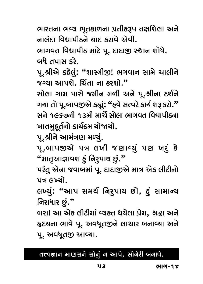ભારતના ભવ્ય ભૂતકાળના પ્રતીકરૂપ તક્ષશિલા અને<br>નાલંદા વિદ્યાપીઠને ચાદ કચવે એવી

…ÛË√pOÛ w\_ÚÛf—sO…@ }ÛpO xO∑Û\_@ #@\_—. IÛ"\_E w\_ÚÛf—sO fiÛŸ@O f\. pOÛpOÛu ÕZÛ… BÛ@A@. બંધે તપાસ કરે.

પૂ.શ્રીએ કહેલું: "શાસ્ત્રીજી! ભગવાન સામે ચાલીને જગ્યા આપશે. ચિંતા ના કરશો.''<br>સોલા ગામ પાસે જમીન મળી અને પૂ.શ્રીના દર્શને

YÛ@ËÛ "Ûfi fÛY@ QÂfi—… fi¥— #…@ f\.C—…Û pOB™…@ "}Û EÛ@ f\.µÛfu#@ xO·⁄√: **"**˜\_@ Y'\_∑@ xOÛ}™ BT xO∑Û@.**"** ખાતમુદૂર્તનો કાર્ચક્રમ ચોજાચો.

પૂ.શ્રીને આમંત્રણ મળ્યું.

પૂ.બાપજીએ પત્ર લખી જણાવ્યું પણ ખરું કે fo ma sama film mana sama sama.<br>"<br>Waliofalal da da da da da walisha iya xarafiya."<br>"Yo <sup>200</sup>0" wa mana da wasan ya mana wa kafi wa wasan wa mana

પરંતુ એના જવાબમાં પૂ. દાદાજીએ માત્ર એક લીટીનો<br>પત્ર લખ્યો

લખ્યું: "આપ સમર્થ નિરુપાય છો, હું સામાન્<mark>ય</mark><br>નિગુધાર છું " જિરાધાર છું.''<br>બસ! આ એક લીટીમાં વ્યકત થચેલા પ્રેમ, <del>શ્ર</del>દ્ભા અને

ામ કાર્ય કરવામાં આવે કે આ કરવા છે.<br>હૃદચના ભાવે પૂ. અવધૂતજીને લાચાર બનાવ્યા અને<br>પા. અવધતજા આવ્યા પૂ. અવધૂતજી આવ્યા.

# الاطار dt المركبة dt us …<br>28-^0 119-17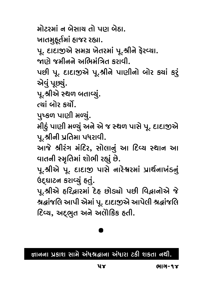મોટરમાં ન બેસાચ તો પણ બેઠા. ખાતમુહૂર્તમાં હાજર રહ્યા. પૂ. દાદાજીએ સમગ્ર ખેતરમાં પૂ.શ્રીને ફેરવ્યા. <u>જાણે જમીનને અભિમંત્રિત કરાવી.</u> ு<br>]cווור הם ער הבר או זו בער ש  $\int \int \, d\mu \, d\mu$ એવું પૂછ્યું.<br>પ.શ્રીએ સ્થળ બતાવ્યું.  $\tilde{\phantom{a}}$ ત્યાં બોર કર્યો. પુષ્કળ પાણી મળ્યું. મીઠું પાણી મળ્યું અને એ જ સ્થળ પાસે પૂ. દાદાજીએ ્ઝ્<br>પૂ.શ્રીની પ્રતિમા પધરાવી.<br>આજે શ્રીરંગ મંદિર . સોલાનું આ દિલ્ય સ્થાન આ આજે શ્રીરંગ મંદિર, સોલાનું આ દિવ્ય સ્થાન આ<br>વાતની સ્મૃતિમાં શોભી રહ્યું છે. પૂ.શ્રીએ પૂ. દાદાજી પાસે નારેશ્વરમાં પ્રાર્થનાખંડનું f&ઘlad sired fq. પૂ.શ્રીએ હરિદ્વારમાં દેહ છોડ્યો પછી વિદ્વાનોએ જે શ્રદ્ધાંજલિ આપી એમાં પૂ. દાદાજીએ આપેલી શ્રદ્ધાંજલિ દિવ્ય, અદ્ભુત અને અલોકિક હતી.

 $\mathcal{L}_{\mathcal{S}}$  =  $\mathcal{L}_{\mathcal{S}}$  =  $\mathcal{L}_{\mathcal{S}}$  =  $\mathcal{L}_{\mathcal{S}}$ 

۔<br>ایج કાનના પ્રકાશ સામે અંધશ્રદ્ધાના અંધારા ટકી શકતા નથી.<br>.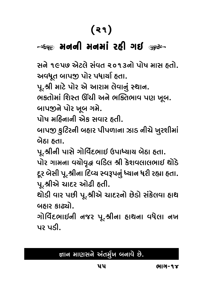# (૨૧)<br>~‱ સનની સનસાં રહી ગઈ િસ્

મને ૧૯૫૭ એટલે સંવત ૨૦૧૩નો પોષ માસ હતો. Y…@ 1957 #@ŸOË@ Y√\_E 2013…Û@ fÛ@∆ fiÛY ˜EÛ@. #\_A\E µÛfu fÛ@∑ fAÛ}Û™ ˜EÛ. પૂ.શ્રી માટે પોર એ આરામ લેવાનું સ્થાન.<br>ભકતોમાં શિસ્ત ઊંચી અને ભક્તિભાવ પણ ખૂબ. બાપજીને પોર ખુબ ગમે.

પોષ મહિનાની એક સવાર **હતી**.

બાપજી કુટિરની બહાર પીપળાના ઝાડ નીચે ખુરશીમાં <u>બેઠા હતા.</u>

પૂ.શ્રીની પાસે ગોવિંદભાઈ ઉપાધ્યાય બેઠા હતા.<br>પોર ગામના વગોવૃદ્ધ વડિત શ્રી કેશવલાલભાઈ

fÛ@∑ "Ûfi…Û \_}Û@\_ÈW \_w¤OË C— x@OB\_ËÛËIÛ\$ ZÛ@¤@O p\O∑ µ@Y— f\.C—…Û wpO[} Õ\_Tf…⁄√ ◊}Û… A∑— ∑·Û ˜EÛ.

e<br>દુધરા તાર માંથી માં આવ્યુ : આ ગા  $\tilde{\mathcal{C}}$ 

µ˜Û∑ xOÛıÛ@. "Û@w\_√pOIÛ\$…— …QÂ∑ f\.C—…Û ˜ÛZ…Û \_A@ËÛ …« f∑ f¤O—.

# GÛ… fiÛoY…@ #√Efi⁄™« µ…Û\_@ ©Â@.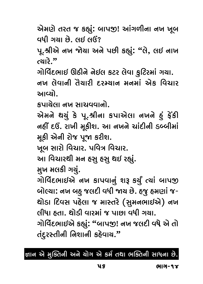બધી ગચા છે. લઈ લઉં?<br>વધી ગચા છે. લઈ લઉં?<br>પા શ્રીએ નામ જોગા અને પછી કહ્યં∙ ''લે\_લઈ નામ

પૂ.શ્રીએ નખ જોચા અને પછી કહ્યું: "લે, લઈ નાખ

ત્યારે.''<br>ગોવિંદભાઈ ઊઠીને નેઈલ કટર લેવા <u>ફ</u>ુટિરમાં ગચા.

<u>નખ લેવાની તૈયારી દરમ્યાન મનમાં એક વિચાર</u>  $\mathsf{P}^\mathsf{H}(\mathsf{C})\mathsf{D}^\mathsf{H}(\mathsf{C})\mathsf{D}^\mathsf{H}(\mathsf{C})\mathsf{D}^\mathsf{H}(\mathsf{C})\mathsf{D}^\mathsf{H}(\mathsf{C})\mathsf{D}^\mathsf{H}(\mathsf{C})\mathsf{D}^\mathsf{H}(\mathsf{C})\mathsf{D}^\mathsf{H}(\mathsf{C})\mathsf{D}^\mathsf{H}(\mathsf{C})\mathsf{D}^\mathsf{H}(\mathsf{C})\mathsf{D}^\mathsf{H}(\mathsf{C})\mathsf{D}^\mathsf{H}(\mathsf{C})\mathsf{$ 

કપાચેલા નખ સાચવવાનો.

એમને થયું કે પૂ.શ્રીના કપાએલા નખને હું ફેંકી નહીં દઉં. રાખી મૂકીશ. આ નખને ચાંદીની ડબ્બીમાં મૂકી એની રોજ પૂજા કરીશ.

ખૂબ સારો વિચાર. પવિત્ર વિચાર.

આ વિચારથી મન હસુ હસુ થઈ રહ્યું.

મુખ મલકી ગયું.

ગોર્વિંદભાઈએ નખ કાપવાનું શરૂ કર્યું ત્યાં બાપજી .<br>બોલ્ચા: નખ બહુ જલદી વધી જાચ છે. હજુ હમણાં જ-<br>શોડા દિવસ પહેલા જ સાસ્તરે (સમનભાઈએ) નામ ZÛ@¤OÛ wpO\_Y f˜@ËÛ QÂ fiÛÕE∑@ (Y⁄fi…IÛ\$#@) …« Ë—AÛ ˜EÛ. ZÛ@¤O— \_Û∑fiÛ√ QÂ fÛ©ÂÛ \_A— "}Û. ગોર્વિંદભાઈએ કહ્યું**: ''**બાપજી! નખ જલદી વધે એ તો

તંદુરસ્તીની નિશાની કહેવાચ."

# اس કાર્ન એ મુક્તિની અને ચોગ એ કર્મ તથા ભક્તિની સાધના છે.<br>અ-- ભાગ-૧૪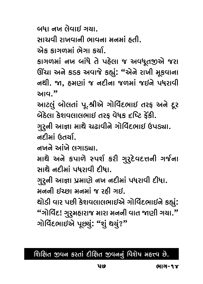બધા નખ લેવાઈ ગચા.<br>સાચવી રાખવાની ભાવના મનમાં ઠતી.

એક કાગળમાં ભેગા કર્યા.

્ટિન્ટ્રેન્ટ્રેન્ટ્રેન્ટ્રેન્ટ્રેન્ટ્રેન્ટ્રેન્ટ્રેન્ટ્રેન્ટ્રેન્ટ્રેન્ટ્રેન્ટ્રેન્ટ્રેન્ટ્રેન્ટ્રેન્ટ્રેન્ટ્ર<br>આગળમાં નખ બાંધે તે પહેલા જ અવધૂતજીએ જરા<br>ચિંગા અને કદક અવાજે કહાં ''એને ગામી મકવાના  $@$ યા અને કડક અવાજે કહ્યું: "એને રાખી મૂકવાના નથી. જા, હમણાં જ નદીના જળમાં જઇને પધરાવી

આવ.''<br>આટલું બોલતાં પૂ.શ્રીએ ગોર્વિદભાઈ તરફ અને દૂર ્ર્રેજ્ય સમાપ્ત દૂધની સાર્થી સ્થાપ્ય કર્યો છે.<br>બેઠેલા કેશવલાલભાઈ તરફ વેધક દષ્ટિ ફેંકી.<br>ગરતી આના માશે રાટાવીને ગોવિંદભાઈ ઉપડ્યા

ગુરુની આજ્ઞા માથે ચઢાવીને ગોવિંદભાઈ ઉપડ્યા.<br>નદીમાં ઉતર્ચા.

ાપ્લ્યાત્મ હતુા અમામ

માથે અને કપાળે સ્પર્શ કરી ગુરૂદેવદત્તની ગર્જના fiÛZ@ #…@ xOfÛ¥@ ÕfB™ xO∑— "⁄∑⁄p@O\_pO˙…— "Q™…Û YÛZ@ …pO—fiÛ√ fA∑Û\_— pO—AÛ.

ગુરુની આજ્ઞા પ્રમાણે નખ નદીમાં પધરાવી દીધા.<br>મનની ઈચ્છા મનમાં જ રહી ગઈ.

થોડી વાર પછી કેશવલાલભાઈએ ગોર્વિંદભાઈને કહ્યું: ZÛ@¤O— \_Û∑ f©Â— x@OB\_ËÛËIÛ\$#@ "Û@w\_√pOIÛ\$…@ xO·⁄√: **"**"Û@w\_√pO! "⁄∑⁄fi˜Û∑ÛQÂ fiÛ∑Û fi……— \_ÛE o— "}Û.**"** <u>ગોવિંદભાઈએ પૂછ્યું: ''શું થયું?''</u>

### $\mathbb{R}^n$  we can be defined with  $\mathbb{C}^n$  of  $\mathbb{R}^n$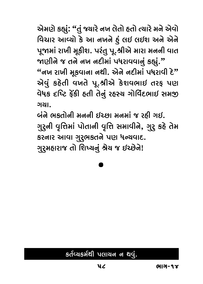એમણે કહ્યું: ''તું જ્યારે નખ લેતો હતો ત્યારે મને એવો<br>વિચાર આવ્યો કે આ નખને હં લઈ લઈશ અને એને પૂજામાં રાખી મૂકીશ. પરંતુ પૂ.શ્રીએ મારા મનની વાત

્ર*ે*<br>જાણીને જ તને નખ નદીમાં પધરાવવાનું કહ્યું."<br>"તામ રાખી સફલાના નથી. એને નદીસાં પધરાલી કે" "નખ રાખી મૂકવાના નથી. એને નદીમાં પધરાવી દે"<br>એવું ક**દેતી વખતે પૂ.શ્રીએ કેશવભાઈ તરફ** પણ ્<br>વેધક દષ્ટિ ફેંકી હતી તેનું રહસ્ય ગોવિંદભાઈ સમજી<br>ગયા

બંને ભક્તોની મનની ઈચ્છા મનમાં જ રહી ગઈ. ગુરૂની વૃત્તિમાં પોતાની વૃત્તિ સમાવીને, ગુરૂ કહે તેમ "⁄∑⁄…— \_Èw˙fiÛ√ fÛ@EÛ…— \_Èw˙ YfiÛ\_—…@, "⁄∑⁄ xO˜@ E@fi xO∑…Û∑ #Û\_Û "⁄∑⁄I®E…@ fo A±}\_ÛpO. "⁄∑⁄fi˜Û∑ÛQÂ EÛ@ wB≈}…⁄√ C@} QÂ \$ ©Â@…@!

.

## <u>x∞ manual — f</u>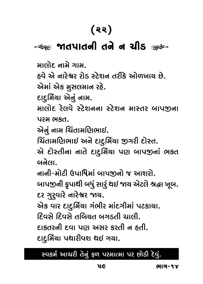## (૨૨)<br>⇔િજ્ઞતપાતની તને ન ચીડ િસ્સ્ક્ EfÛE…— E…@ … {—¤O EfÛE…— E…@ {—¤O …

ત્રવે એ નારેશ્વર રોડ સ્ટેશન તરીકે ઓળખાચ છે.

એમાં એક મુસલમાન રહે.

દાદૃર્ભિયા એનું નામ.

માલોદ રેલવે સ્ટેશનના સ્ટેશન માસ્તર બાપજીના es in ksp

એનું નામ ચિંતામણિભાઈ.

ચિંતામણિભાઈ અને દાદુર્મિયા જીગરી દોસ્ત.

એ દોસ્તીના નાતે દાદૃર્મિયા પણ બાપજીનાં ભક્ત #@ pOÛ@ÕE—…Û …ÛE@ pOÛp⁄Owfi√}Û fo µÛfu…Û√ I®E

………<br>નાની-મોટી ઉપાધિમાં બાપજીનો જ આશરો.<br>બાપજીની કપાથી બધું સારૂં શક(જાગ એટલે શ્વ

બાપજીની કૃપાથી બધું સારું થઈ જાચ એટલે શ્રદ્ધા ખૂબ.<br>દર ગુરૂવારે નારેશ્વર જાચ.

એક વાર દાદૃર્ભિયા ગંભીર માંદગીમાં પટકાચા.

&વિસે દિવસે તબિચત બગડતી ચાલી.

દાકતરની દવા પણ અસર કરતી ન હતી.

દાદૃર્ભિયા પથારીવશ થઈ ગયા.  $\frac{1}{\sqrt{2}}$ 

# ڪِر& સ્વકર્મ આચરી તેનું ફળ પરમાત્મા પર છોડી દેવું.<br>પદ અગ્રગ-૧૪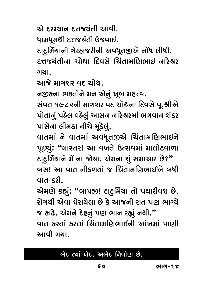એ દરમ્યાન દત્તજચંતી આવી.

.<br>ધામધૂમથી દત્તજચંતી ઉજવાઈ<br>ધાર્મસંગાની ગેરુકાજરીની અવધ

દાદુર્મિયાની ગેરહાજરીની અવધૂતજીએ નોંધ લીધી.<br>દત્તજચંતીના ચોથા દિવસે ચિંતામણિભાઈ નારેશ્વર  $\rho$ ונכוכ $\Gamma$ 

આજે માગશર વદ ચોથ.

<u>નજીકના ભકતોને મન એનું ખૂબ મહત્ત્વ.</u>

સંવત ૧૯૮૨ની માગશર વદ ચોથના દિવસે પૂ.શ્રીએ પોતાનું પહેલ વહેલું આસન નારેશ્વરમાં ભગવાન શંકર પાસેના લીમડા નીચે મૂકેલું.

્લાલમાં ને વાતમાં અવધૂતજીએ ચિંતામણિભાઈને<br>પછ્યું: "માસ્ત્રગ આ વામતે ઉત્સવમાં માલોદવાળા પૂછ્યું: **"**માસ્તર! આ વખતે ઉત્સવમાં માલોદવાળા

pOÛp⁄Owfi√}Û…@ fi@> …Û @}Û. #@fi…Û B⁄√ YfiÛ{Û∑ ©Â@?**"** બસ! આ વાત નીકળતાં જ ચિંતામણિભાઈએ બધી<br>વાત કરી

.<br>એમણે કહ્યું: ''બાપજી! દાદુર્મિયા તો પથારીવશ છે.<br>ગેગશી એવા ઘેગચેલા છે કે આજની ગત પણ ભાગ્ગે ∑Û@"Z— #@\_Û n@∑Û}@ËÛ ©Â@ x@O #ÛQÂ…— ∑ÛE fo IÛa}@ QÂ xOÛJ@O. #@fi…@ p@O˜…⁄√ fo IÛ… ∑·⁄√ …Z—.**"**

આવી ગચા.

### $\ldots$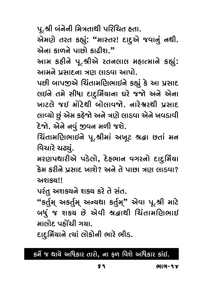્<br>એમણે તરત કહ્યું: "માસ્તર! દાદુએ જવાનું નથી.<br>એના ફાળને પાછો ફાટીશ <sup>?</sup>' એના કાળને પાછો કાઢીશ.''<br>આમ કહીને પૂ.શ્રીએ રતનલાલ મહાત્માને કહ્યું:

આમને પસાદના ત્રાગ લાડવા આપો.

પછી બાપજીએ ચિંતામણિભાઈને કહ્યું કે આ પ્રસાદ ્<br>લઈને તમે સીધા દાદુર્મિયાના ઘરે જજો અને એના<br>ભારતે જઈ મોટેશી બોલાવજો. નારેશ્વરશી પત્રાદ લાવ્યો છું એમ કહેજો અને ત્રણે લાડવા એને ખવડાવી દેજો. એને નવું જીવન મળી જશે.

ચિંતામણિભાઈને પૂ.શ્રીમાં અખૂટ શ્રદ્ધા છતાં મન વિચારે ચઢ્યં.

મરણપથારીએ પડેલો, દેહભાન વગરનો દાદુર્મિયા <u>કેમ કરીને પ્રસાદ ખાશે? અને તે પાછા ત્રણ લાડવા?</u> xo∑— for early and the formula of the formula of the formula of the formula of the formula of the formula of t<br>Design to the formula of the formula of the formula of the formula of the formula of the formula of the formul

પરંતુ અશક્યને શક્ય કરે તે સંત.

.<br>"કર્તુમ્ અકર્તુમ્ અન્યથા કર્તુમ્" એવા પૂ.શ્રી માટે<br>"\* સ્ટિબ્સ કર્યો એ તમારી ઉાંતામપિણવાડા બધું જ શકચ છે એવી શ્રદ્ધાથી ચિંતામણિભાઈ<br>માલોદ પઠોંચી ગયા.

દાદૂર્મિંચાને ત્યાં લોકોની ભારે ભીડ.  $\mathcal{O}$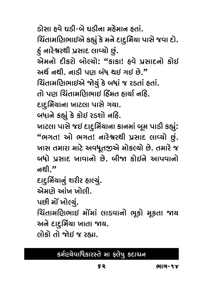ડોસા ઠવે ઘડી-બે ઘડીના મઠેમાન ઠતાં. ચિંતામણિભાઈએ કહ્યું કે મને દાદૂર્મિયા પાસે જવા દો. હું નારેશ્વરથી પ્રસાદ લાવ્યો છું. <sub>૱</sub><br>એમનો દીકરો બોલ્યો: ''કાકા! હવે પ્રસાદનો કોઈ<br>અર્થ નથી નાડી પણ બંધ શહા ગ્રહ છે '' <u>અર્થ નથી. નાડી પાગ બંધ થઇ ગઇ છે."</u> ચિંતામણિભાઈએ જોચું કે બધાં જ રડતાં હતાં.<br>તો પાગ ચિંતામણિભાઈ ઠિંમત ઠાર્ચા નઠિ દાદુર્ભિયાના ખાટલા પાસે ગયા. ્યું.<br>બધાને કહ્યું કે કોઈ રડશો નહિ.<br>ખાટલા પાસે જઈ દાદસિંગાના ક .<br>"ભગત! ઓ ભગત! નોરેશ્વરથી પ્રસાદ લાવ્યો છું.<br>'માસ તમારા માટે અવધતજીએ મો*કલ્*ગો છે. તમારે જ ખાસ તમારા માટે અવધૂતજીએ મોકલ્ચો છે. તમારે જ બધો પસાદ ખાવાનો છે. બીજા કોઈને આપવાનો નથી.''<br>દાદ્દમિંચાનું શરીર હાલ્યું. એમણે આંખ ખોલી. પછી મોં ખોલ્યું. ચિંતામણિભાઈ મોંમાં લાડવાનો ભૂકો મૂકતા જાચ અને દાદુર્ભિયા ખાતા જાય. લોકો તો જોઈ જ રહ્યા. ËÛ@xOÛ@ EÛ@ @\$ QÂ ∑·Û.

# xOfi™H}@\_ÛwAxOÛ∑ÕE@ fiÛ lË@∆⁄ xOpOÛ{…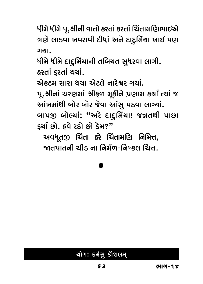ધીમે ધીમે પૂ.શ્રીની વાતો કરતાં કરતાં ચિંતામણિભાઈએ ત્રણે લાડવા ખવરાવી દીધાં અને દાદુર્મિંચા ખાઈ પણ<br>ગયા.

"}Û. <sup>A</sup>—fi@ A—fi@ pOÛp⁄Owfi√}Û…— Ewµ}E Y⁄A∑\_Û ËÛ"—.

એકદમ સારા થયા એટલે નારેશ્વર ગયાં.

પૂ.શ્રીનાં ચરણમાં શ્રીફળ મૂકીને પ્રણામ કર્યાં ત્યાં જ આંખમાંથી બોર બોર જેવા આંસુ પડવા લાગ્યાં.

#Û√«fiÛ√Z— µÛ@∑ µÛ@∑ QÂ@\_Û #Û√Y⁄ f¤O\_Û ËÛa}Û√. µÛfu µÛ@º}Û√: **"**#∑@ pOÛp⁄Owfi√}Û! Q–EZ— fÛ©ÂÛ કર્યા છો. હવે રડો છો કેમ?<sup></sup>"

અવધૂતજી ચિંતા હરે ચિંતામણિ નિમિત્ત,<br>જાતપાતની ચીડ ના નિર્મળ-નિષ્કલ ચિત્ત  $E = \frac{1}{2} \sum_{i=1}^{N} \frac{1}{2} \sum_{i=1}^{N} \frac{1}{2} \sum_{i=1}^{N} \frac{1}{2} \sum_{i=1}^{N} \frac{1}{2} \sum_{i=1}^{N} \frac{1}{2} \sum_{i=1}^{N} \frac{1}{2} \sum_{i=1}^{N} \frac{1}{2} \sum_{i=1}^{N} \frac{1}{2} \sum_{i=1}^{N} \frac{1}{2} \sum_{i=1}^{N} \frac{1}{2} \sum_{i=1}^{N} \frac{1}{2} \sum_{i=1}^{N} \frac{1}{2} \sum_{i=1}$ 

.

# ચોગ: કર્મસુ કેોશલમ્ $\frac{1}{3}$ કર્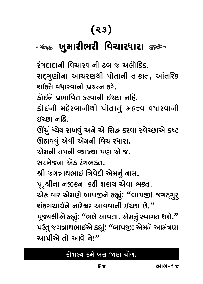### $\frac{1}{2}$ <mark>ખુમારીભરી વિચાર</mark>ધારા

સદ્ગુણોના આચરણથી પોતાની તાકાત, આંતરિક ્ઙ<br>શક્તિ વધારવાનો પ્રચત્ન કરે.<br>કોઈને પ્રભાવિત કરવાની ઈરછા નકિ

xOÛ@\$…@ fVIÛw\_E xO∑\_Û…— \$ ©ÂÛ …w˜. xOÛ@\$…— fi˜@∑µÛ…—Z— fÛ@EÛ…⁄√ fi˜b\_ \_AÛ∑\_Û…—

\$ ©ÂÛ …w˜. ≥>{⁄√ ◊}@} ∑Û«\_⁄√ #…@ #@ wYW xO∑\_Û Õ\_@ ©ÂÛ#@ xO‰O ઊઠાવવું એવી એમની વિચારધારા.<br>એમની તપની વ્યાખ્યા પણ એ જ.

<u> સરપ્રેહ્નથા એક રંગભક્ત</u>

श्री જગન્નાથભાઈ ત્રિવેદી એમનું નામ.

પૂ.શ્રીના નજીકના કહી શકાચ એવા ભકત.

્<br>એક વાર એમણે બાપજીને કહ્યું: ''બાપજી! જગદ્ગુ<u>રુ</u><br>શંકગગાર્ગને નારેશ્વર આવવાની ઈટક્યા છે '' B√xO∑Û{Û}™…@ …Û∑@U∑ #Û\_\_Û…— \$ ©ÂÛ ©Â@.**"**

પૂજ્યશ્રીએ કહ્યું: ''ભલે આવતા. એમનું સ્વાગત થશે.'' પરંતુ જગન્નાથભાઈએ કહ્યું: ''બાપજી! એમને આમંત્રણ આપીએ તો આવે ને!**''** 

## xon aw de aw de aw de aw de aw de aw de aw de aw de aw de aw de aw de aw de aw de aw de aw de aw de aw de aw<br>De aw de aw de aw de aw de aw de aw de aw de aw de aw de aw de aw de aw de aw de aw de aw de aw de aw de aw de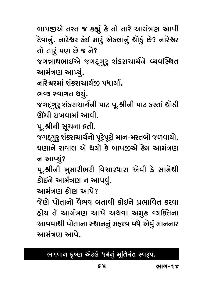બાપજીએ તરત જ કહ્યું કે તો તારે આમંત્રણ આપી<br>દેવાનું. નારેશ્વર કંઈ મારૂં એકલાનું થોડું છે? નારેશ્વર <u>તો તારૂં પણ છે જ ને?</u>

જગન્નાથભાઈએ જગદ્ગુરૂ શંકરાચાર્યને વ્યવસ્થિત આમંત્રણ આપ્યું.

્ર<br>નારેશ્વરમાં શંકરાચાર્ચજી પધાર્યા.<br>ભલ્ય સ્વાગત શર્ગ

ભવ્ય સ્વાગત થયું.<br>જગદ્ગુરૂ શંકરાચાર્યની પાટ પૂ.શ્રીની પાટ કરતાં થોડી વીંરી રાખવામાં આવી.

પૂ.શ્રીની સૂચના હતી.

જગદ્ગુરૂ શંકરાચાર્ચનો પૂરેપૂરો માન-મરતબો જળવાયો. ઘણાને સવાલ એ થયો કે બાપજીએ કેમ આમંત્રણ ન આપ્યું?

્<br>પૂ.શ્રીની ખુમારીભરી વિચારધારા એવી કે સામેથી<br>કોઈને આમંત્રણ ન આપવં કોઈને આમંત્રણ ન આપવું.<br>આમંત્રણ કોણ આપે?

જાેગે પોતાનો વેભવ બતાવી કોઈને પ્રભાવિત કરવા હોચ તે આમંત્રણ આપે અથવા અમુક વ્યક્તિના ઁે છે.<br>આવવાથી પોતાના સ્થાનનું મહત્ત્વ વધે એવું માનનાર<br>આમંત્રાગ આપે #Ûfi√Lo #Ûf@.

# I બગવાન કૃષ્ણ એટલે ધર્મનું મૂર્તિમંત સ્વરૂપ.<br>કપ બાગ-૧૪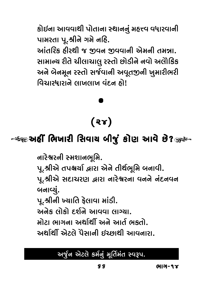કોઈના આવવાથી પોતાના સ્થાનનું મહત્ત્વ વધારવાની<br>પામરતા પૂ.શ્રીને ગમે નહિ.

આંતરિક હીરથી જ જીવન જીવવાની એમની તમન્ના. સામાન્ય રીતે ચીલાચાલુ રસ્તો છોડીને નવો અલોકિક અને બેનમૂન રસ્તો સર્જવાની અવૂતજીની ખુમારીભરી #…@ µ@…fi\… ∑ÕEÛ@ YQ™\_Û…— #\_\Eu…— «⁄fiÛ∑—I∑— w\_{Û∑AÛ∑Û…@ ËÛ«ËÛ« \_√pO… ˜Û@!

### ์<br>จ  $\frac{1}{2}$

# $\frac{1}{\sqrt{2}}$

નારેશ્વરની સ્મશાનભૂમિ.<br>પૂ.શ્રીએ તપશ્ચર્યા દ્વારા એને તીર્થભૂમિ બનાવી.

પૂ.શ્રીએ સદાચરણ દ્વારા નારેશ્વરના વનને નંદનવન  $\kappa$  . We not now the wave  $\Sigma$ 

બનાવ્યું.<br>પૂ.શ્રીની ખ્યાતિ ફેલાવા માંડી.

અનેક લોકો દર્શને આવવા લાગ્યા.

મોટા ભાગના અર્થાર્થી અને આર્ત ભક્તો.

અર્થાર્થી એટલે પૈસાની ઈચ્છાથી આવનારા.

## અર્જુન એટલે કર્મનું મૂર્તિમંત સ્વરૂપ.<br>કક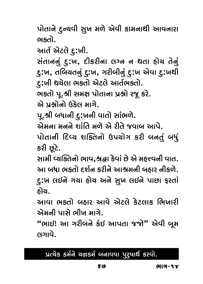પોતાને દુન્ચવી સુખ મળે એવી કામનાથી આવનારા<br>ભક્તો

આર્ત એટલે દુ:ખી.

સંતાનનું દુ:ખ, દીકરીના લગ્ન ન થતા હોચ તેનું ્દુ:ખ, તબિચત<u>નું</u> દુ:ખ, ગરીબીનું દુ:ખ એવા દુ:ખથી ્ટ્;ખી થચેલા ભકતો એટલે આર્તભકતો.

ભકતો પૂ.શ્રી સમક્ષ પોતાના પ્રશ્નો રજૂ કરે.

એ પશ્ચોનો ઉકેલ માગે.

#@ fVÀÛ@…Û@ &x@OË fiÛ"@. f\.C— µAÛ…— p⁄O:«…— \_ÛEÛ@ YÛ√I¥@.

પોતાની દિવ્ય શક્તિનો ઉપયોગ કરી બનતું બધું<br>ક્ર્ગ છરે કરી છૂટે.<br>સામી વ્યક્તિનો ભાવ,શ્રદ્ધા કેવાં છે એ મહત્ત્વની વાત.

YÛfi— [}»®E…Û@ IÛ\_,CWÛ x@O\_Û√ ©Â@ #@ fi˜b\_…— \_ÛE. #Û µAÛ I®EÛ@ pOB™… xO∑—…@ #ÛCfi…— µ˜Û∑ …—xO¥@.  $\mathcal{S}$ <br>p⁄o:

આવા ભકતો બઠાર આવે એટલે કેટલાક ભિખારી એમળી પાસે ભીખ માગે

<sub>.</sub><br>"ભાઈ! આ ગરીબને કંઈ આપતા જજો" એવી બૂમ<br>લગાવે

# َ y، સ્વેક કર્મને ચજ્ઞકર્મ બનાવવા પુરુષાર્થ કરવો.<br>દ**િ**જ્ઞાગ-૧૪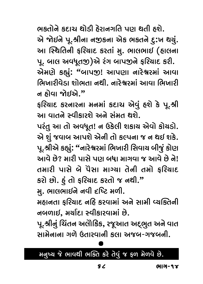ભકતોને કદાચ થોડી ઠેરાનગતિ પણ થતી ઠશે. એ જોઈને પૂ.શ્રીના નજીકના એક ભકતને દુ:ખ થયું. આ સ્થિતિની ફરિયાદ કરતાં મુ. ભાલભાઈ (હાલના ્યો છે છે છે આ કે આ કે આ કે બીટી કરી.<br>પૂ. બાલ અવધૂતજી)એ રંગ બાપજીને ફરિયાદ કરી.<br>એમણે કહ્યં: ''બાપજો! આપણા તારેશ્વરમાં આવા એમણે કહ્યું: ''બાપજી! આપણા નારેશ્વરમાં આવા<br>ભિખારીવેડા શોભતા નથી. નારેશ્વરમાં આવા ભિખારી <sup>o</sup> છેવા જોઈએ."<br>બે છેવા જોઈએ."<br>ન કરિયા કરવારતા સતમાં કદારા એવં હશે કે ૫ શ્રી

ફરિયાદ કરનારના મનમાં કદાચ એવું હશે કે પૂ.શ્રી<br>આ વાતને સ્વીકારશે અને સંમત થશે.

.<br>પરંતુ આ તો અવધૂત! ન ઉકેલી શકાચ એવો કોચડો.<br>એ શું જવાલ આપશે એની તો કલ્પના જ ન શુંધ શકે પૂ.શ્રીએ કહ્યું: ''નારેશ્વરમાં ભિખારી સિવાચ બીજું કોણ<br>આવે છે? સારી ખાસે ખાગ બધા સાગવા જ આવે છે તે! આવે છે? મારી પાસે પણ બધા માગવા જ આવે છે ને!<br>તમારી પાસે બે પૈસા માગ્યા તેની તમો કરિચાદ .<br>કરો છો. ઠું તો ફરિયાદ કરતો જ નથી.''<br>મૂ ભાલભાઈને નવી દુષ્ટિ મળી

મુ. ભાલભાઈને નવી દષ્ટિ મળી.<br>મહાનતા કરિચાદ નહિ કરવામાં અને સામી વ્યક્તિની નબળાઈ, મર્ચાદા સ્વીકારવામાં છે.

પૂ.શ્રીનું ચિંતન અલૌકિક, રજૂઆત અદ્ભુત અને વાત f\.C—…⁄√ w{√E… #ËÛ≠wxOxO, ∑Q\Â#ÛE #p≤OI⁄E #…@ \_ÛE  $\bullet$ 

#### .<br>18<br>94 fi…⁄≈} QÂ@ IÛ\_Z— I»®E xO∑@ E@\_⁄√ QÂ l¥ fi@¥\_@ ©Â@.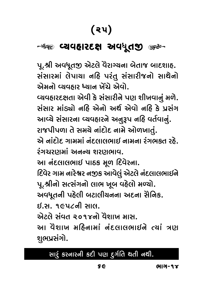# $\sqrt{2}$

#### [}\_˜Û∑pOÆ #\_ [}\_˜Û∑pOÆ #\_A\Eu

પૂ.શ્રી અવધૂતજી એટલે વેરાગ્ચના બેતાજ બાદશાહ.<br>સંસારમાં લેપાચા નહિ પરંતુ સંસારીજનો સાથેનો એમનો વ્યવહાર ધ્યાન ખેંચે એવો.<br>બોમનો વ્યવહાર ધ્યાન ખેંચે એવો.<br>આવઠારદસતા એવી કે સંસારીને પાગ શીખવાનું મળે

વ્યવહારદક્ષતા એવી કે સંસારીને પણ શીખવાનું મળે.<br>સંસાર માંડ્યો નહિ એનો અર્થ એવો નહિ કે પ્રસંગ આવ્યે સંસારના વ્યવહારને અનુરૂપ નહિ વર્તવાનું. રાજપીપળા તે સમચે નાંદોદ નામે ઓળખાતું. એ નાંદોદ ગામમાં નંદલાલભાઈ નામના રંગભક્ત રહે. <u>રંગચરાગમાં અનન્ય શરાગભાવ.</u>

આ નંદલાલભાઈ પાઠક મૂળ દિવેરના.

દિવેર ગામ નારેશ્વર નજીક આવેલું એટલે નંદલાલભાઈને પૂ.શ્રીનો સત્સંગનો લાભ ખૂબ વહેલો મળ્યો.

ू<br>અવધૂતની પહેલી બટાલીચનના અદના સૈનિક.<br>ઈ. સ. ૧૯૫૮ની સાલ

એટલે સંવત ૨૦૧૪નો વૈશાખ માસ.

આ વૈશાખ મહિનામાં નંદલાલભાઈને ત્યાં ત્રણ શુભપ્રસંગો.  $\frac{3}{\sqrt{2}}$ 

# સારું કરનારની કદી પણ દુર્ગતિ થતી નથી.<br>કલ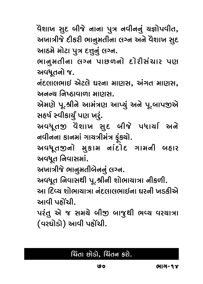ે વેશાખ સુદ બીજે નાના પુત્ર નવીનનું ચજ્ઞોપવીત,<br>અખાત્રીજે દીકરી ભાનુમતીના લગ્ન અને વેશાખ સુદ આઠમે મોટા પુત્ર દત્તુનું લગ્ન.

 $\frac{1}{2}$ IÛ…⁄fiE—…Û Ëa… fÛ©Â¥…Û@ pOÛ@∑—Y√{Û∑ fo

અવધૂતનો જ.<br>નંદલાલભાઈ એટલે ઘરના માણસ, અંગત માણસ, અનન્ય બિષ્ઠાવાળા માણસ.

એમણે પૂ.શ્રીને આમંત્રણ આપ્યું અને પૂ.બાપજીએ સહર્ષ સ્વીકાર્યું પણ ખરૂં.

Y˜∆™ Õ\_—xOÛ}⁄q fo «∑⁄√. #\_A\Eu \_≠BÛ« Y⁄pO µ—QÂ@ fAÛ}Û™ #…@

…\_—……Û xOÛ…fiÛ√ "Û}L—fi√L l\ √®}Û@. #\_A\Eu…Û@ fi⁄xOÛfi …Û√pOÛ@pO "Ûfi…— µ˜Û∑ અવધૂત નિવાસમાં.<br>અખાત્રીજે ભાનુમતીબેનનું લગ્ન.

અવધૂત નિવાસથી પૂ.શ્રીની શોભાચાત્રા નીકળી.<br>આ દિલ્ય શોભાચાત્રા નંદલાલભાઈના ઘરની મુકૂર્ય

આ દિવ્ય શોભાચાત્રા નંદલાલભાઈના ઘરની ખડકીએ<br>આવી પહોંચી

પરંતુ એ જ સમચે બીજી બાજુથી ભવ્ય વરચાત્રા  $f(x)$ ည်။  $f(x)$ ည်း  $\sum_{i=1}^{n}$ 

### w∰€∰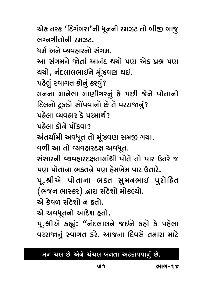એક તરફ 'દિગંબરા'ની ધૂનની રમઝટ તો બીજી બાજુ ંડસ્ટાકર નિર્ગાતગાન ધર્મ અને વ્યવઠારનો સંગમ. આ સંગમને જોતાં આનંદ થયો પણ એક પ્રશ્ન પણ થયો, નંદલાલભાઈને મૂંઝવણ થઈ. પહેલું સ્વાગત કોનું કરવું? મનના માનેલા માણીગરનું કે પછી જેને પોતાનો દિલનો ટૂકડો સોંપવાનો છે તે વરરાજાનું? પઠેલા વ્યવઠાર કે પરમાર્થ? પઠેલા કોને પોંકવા? અંતર્ચામી અવધૂત તો મૂંઝવણ સમજી ગયા. વળી આ તો વ્યવહારદક્ષ અવધૂત. સંસારની વ્યવહારદક્ષતામાંથી પોતે તો પાર ઉતરે જ પણ પોતાના ભકતને પણ ઠેમખેમ પાર ઉતારે. પૂ.શ્રીએ પોતાના ભકત સુમનભાઈ પુરોહિત (ભજન ભાસ્કર) દ્વારા સંદેશો મોકલ્ચો. એ કેવળ સંદેશો ન હતો. એ અવધૂતનો આદેશ હતો. पू.श्रीએ કહ્યું: "નંદલાલને જઈને કહો કે પહેલા વરરાજાનું સ્વાગત કરે. આજના દિવસે તમારા માટે

मन यत छे सेने यंथत जनता सटडापपानुं छे.

**99**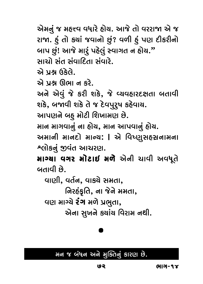એમનું જ મહત્ત્વ વધારે હોચ. આજે તો વરરાજા એ જ<br>રાજા. હં તો કચાં જવાનો છું? વળી હં પણ દીકરીનો ∑Û. ˜÷√ EÛ@ ®}Û√ QÂ\_Û…Û@ ©⁄Â√? \_¥— ˜÷√ fo pO—xO∑—…Û@ µÛf ©⁄Â√! #ÛQÂ@ fiÛ∑⁄√ f˜@Ë⁄√ Õ\_Û"E … ˜Û@}.**"**

એ પશ્ચ ઉકેલે.

એ પશ્ચ ઊભા ન કરે.

અને એવું જે કરી શકે, જે વ્યવહારદક્ષતા બતાવી શકે, બજાવી શકે તે જ દેવપુરુષ કહેવાચ.

આપણને બહ્ મોટી શિખામણ છે.

માન માગવાનું ના હોચ, માન આપવાનું હોચ.

આની માનદો માન્ય: | એ વિષ્ણુસહસનામના શ્લોકનું જીવંત આચરણ.

'ËÛ@xO…⁄√ u\_√E #Û{∑o. fiÛa}Û \_"∑ fiÛ@ŸOÛ\$ fi¥@ fiÛa}Û \_"∑ fiÛ@ŸOÛ\$ fi¥@ fiÛa}Û \_"∑ fiÛ@ŸOÛ\$ fi¥@#@…— {Û\_— #\_A\E@

વાણી, વર્તન, વાકચે સમતા,

નિરહંકૃતિ, ના જેને મમતા,

વણ માગ્ચે **રંગ** મળે પ્રભુતા,

એના સુખને કચાંચ વિરામ નથી.  $\frac{1}{2}$ 

.<br>जे <sub>ड्</sub> fi… QÂ µ√A… #…@ fi⁄»®E…⁄√ xOÛ∑o ©Â@.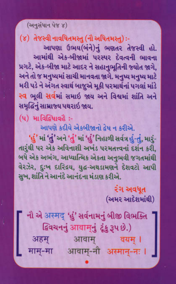(અનુસંધાન પેજ ૪)

(४) तेश्वरची नावधितमस्तु (नौ अधितमस्तु) :-આપણા ઉભય (બંને)નું ભણતર તેજસ્વી હો. આમાંથી એક-બીજામાં પરસ્પર દેવત્વની ભાવના પ્રગટે, એક-બીજા માટે આદર ને સહાનુભૂતિની જ્યોત જાગે, અને તો જ મનુષ્યમાં સાચી માનવતા જાગે. મનુષ્ય મનુષ્ય માટે મરી પડે ને અંગત સ્વાર્થ બાજુએ મૂકી પરમાર્થનાં પગલાં માંડે સ્વ ભૂલી સર્વમાં સમાઇ જાય અને વિશ્વમાં શાંતિ અને સમૂહિનું સામ્રાજ્ય પથરાઇ જાય.

(૫) માવિદ્વિષાવહૈ**:**-આપણે કદીયે એકબીજાનો દેષ ન કરીએ. 'હું' માં 'તું' અને 'તું' માં 'હું' નિહાળી સર્વત્ર હું-તું, મારૂં-તારુંથી પર એક અવિનાશી અખંડ પરમતત્ત્વનાં દર્શન કરી.

બધે એક અભંગ, આધ્યાત્મિક એકતા અનુભવી જગતમાંથી વેરઝેર, દુઃખ દારિકય, યુદ્ધ-અથડામણને દેશવટો આપી સુખ, શાંતિ ને આનંદે આનંદના મંડાણ કરીએ.

> રંગ અવધૂત (અમર આદેશમાંથી)

નૌ એ अस्मद् 'હું' સર્વનામનું બીજી વિભક્તિ " द्विवयननुं आवाम्नुं दृंदु ३५ છे.) अहम् आवाम् वयम् । माम्-मा आवाम्-नौ अस्मान्-नः ।